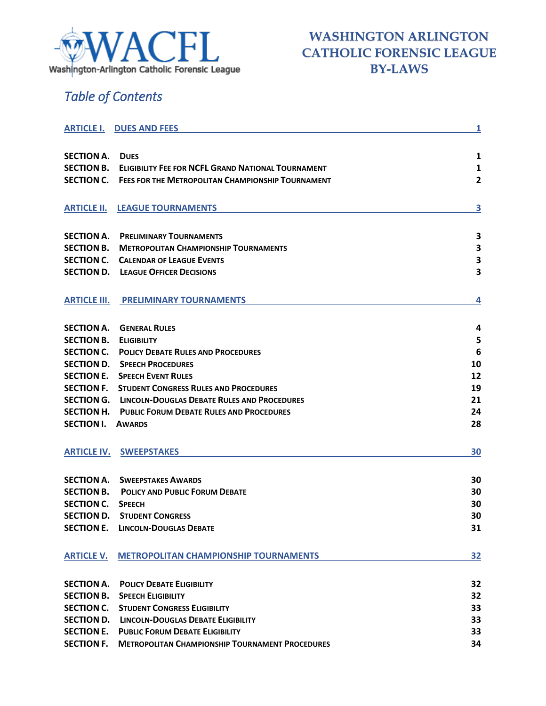

# *Table of Contents*

| <b>ARTICLE I.</b>   | <b>DUES AND FEES</b>                                      | $\overline{\mathbf{1}}$ |
|---------------------|-----------------------------------------------------------|-------------------------|
|                     |                                                           |                         |
| <b>SECTION A.</b>   | <b>DUES</b>                                               | 1                       |
| <b>SECTION B.</b>   | <b>ELIGIBILITY FEE FOR NCFL GRAND NATIONAL TOURNAMENT</b> | 1                       |
| <b>SECTION C.</b>   | <b>FEES FOR THE METROPOLITAN CHAMPIONSHIP TOURNAMENT</b>  | 2                       |
|                     |                                                           |                         |
| <b>ARTICLE II.</b>  | <b>LEAGUE TOURNAMENTS</b>                                 | 3                       |
|                     |                                                           |                         |
| <b>SECTION A.</b>   | <b>PRELIMINARY TOURNAMENTS</b>                            | 3                       |
| <b>SECTION B.</b>   | <b>METROPOLITAN CHAMPIONSHIP TOURNAMENTS</b>              | 3                       |
| <b>SECTION C.</b>   | <b>CALENDAR OF LEAGUE EVENTS</b>                          | 3                       |
| <b>SECTION D.</b>   | <b>LEAGUE OFFICER DECISIONS</b>                           | 3                       |
|                     |                                                           |                         |
|                     |                                                           |                         |
| <b>ARTICLE III.</b> | <b>PRELIMINARY TOURNAMENTS</b>                            | 4                       |
|                     |                                                           |                         |
| <b>SECTION A.</b>   | <b>GENERAL RULES</b>                                      | 4                       |
| <b>SECTION B.</b>   | <b>ELIGIBILITY</b>                                        | 5                       |
| <b>SECTION C.</b>   | <b>POLICY DEBATE RULES AND PROCEDURES</b>                 | 6                       |
| <b>SECTION D.</b>   | <b>SPEECH PROCEDURES</b>                                  | 10                      |
| <b>SECTION E.</b>   | <b>SPEECH EVENT RULES</b>                                 | 12                      |
| <b>SECTION F.</b>   | <b>STUDENT CONGRESS RULES AND PROCEDURES</b>              | 19                      |
| <b>SECTION G.</b>   | LINCOLN-DOUGLAS DEBATE RULES AND PROCEDURES               | 21                      |
| <b>SECTION H.</b>   | <b>PUBLIC FORUM DEBATE RULES AND PROCEDURES</b>           | 24                      |
| <b>SECTION I.</b>   | <b>AWARDS</b>                                             | 28                      |
|                     |                                                           |                         |
| <b>ARTICLE IV.</b>  | <b>SWEEPSTAKES</b>                                        | 30                      |
|                     |                                                           |                         |
| <b>SECTION A.</b>   | <b>SWEEPSTAKES AWARDS</b>                                 | 30                      |
| <b>SECTION B.</b>   | <b>POLICY AND PUBLIC FORUM DEBATE</b>                     | 30                      |
| <b>SECTION C.</b>   | <b>SPEECH</b>                                             | 30                      |
| <b>SECTION D.</b>   | <b>STUDENT CONGRESS</b>                                   | 30                      |
|                     | <b>SECTION E. LINCOLN-DOUGLAS DEBATE</b>                  | 31                      |
|                     |                                                           |                         |
| <b>ARTICLE V.</b>   | <b>METROPOLITAN CHAMPIONSHIP TOURNAMENTS</b>              | 32                      |
|                     |                                                           |                         |
| <b>SECTION A.</b>   | <b>POLICY DEBATE ELIGIBILITY</b>                          | 32                      |
| <b>SECTION B.</b>   | <b>SPEECH ELIGIBILITY</b>                                 | 32                      |
| <b>SECTION C.</b>   | <b>STUDENT CONGRESS ELIGIBILITY</b>                       | 33                      |
| <b>SECTION D.</b>   | <b>LINCOLN-DOUGLAS DEBATE ELIGIBILITY</b>                 | 33                      |
| <b>SECTION E.</b>   | <b>PUBLIC FORUM DEBATE ELIGIBILITY</b>                    | 33                      |
| <b>SECTION F.</b>   | <b>METROPOLITAN CHAMPIONSHIP TOURNAMENT PROCEDURES</b>    | 34                      |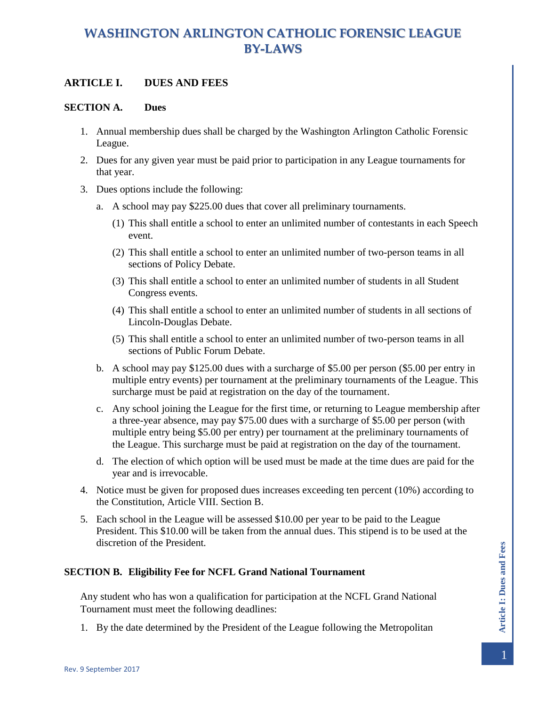### <span id="page-1-0"></span>**ARTICLE I. DUES AND FEES**

#### <span id="page-1-1"></span>**SECTION A. Dues**

- 1. Annual membership dues shall be charged by the Washington Arlington Catholic Forensic League.
- 2. Dues for any given year must be paid prior to participation in any League tournaments for that year.
- 3. Dues options include the following:
	- a. A school may pay \$225.00 dues that cover all preliminary tournaments.
		- (1) This shall entitle a school to enter an unlimited number of contestants in each Speech event.
		- (2) This shall entitle a school to enter an unlimited number of two-person teams in all sections of Policy Debate.
		- (3) This shall entitle a school to enter an unlimited number of students in all Student Congress events.
		- (4) This shall entitle a school to enter an unlimited number of students in all sections of Lincoln-Douglas Debate.
		- (5) This shall entitle a school to enter an unlimited number of two-person teams in all sections of Public Forum Debate.
	- b. A school may pay \$125.00 dues with a surcharge of \$5.00 per person (\$5.00 per entry in multiple entry events) per tournament at the preliminary tournaments of the League. This surcharge must be paid at registration on the day of the tournament.
	- c. Any school joining the League for the first time, or returning to League membership after a three-year absence, may pay \$75.00 dues with a surcharge of \$5.00 per person (with multiple entry being \$5.00 per entry) per tournament at the preliminary tournaments of the League. This surcharge must be paid at registration on the day of the tournament.
	- d. The election of which option will be used must be made at the time dues are paid for the year and is irrevocable.
- 4. Notice must be given for proposed dues increases exceeding ten percent (10%) according to the Constitution, Article VIII. Section B.
- 5. Each school in the League will be assessed \$10.00 per year to be paid to the League President. This \$10.00 will be taken from the annual dues. This stipend is to be used at the discretion of the President.

#### <span id="page-1-2"></span>**SECTION B. Eligibility Fee for NCFL Grand National Tournament**

Any student who has won a qualification for participation at the NCFL Grand National Tournament must meet the following deadlines:

1. By the date determined by the President of the League following the Metropolitan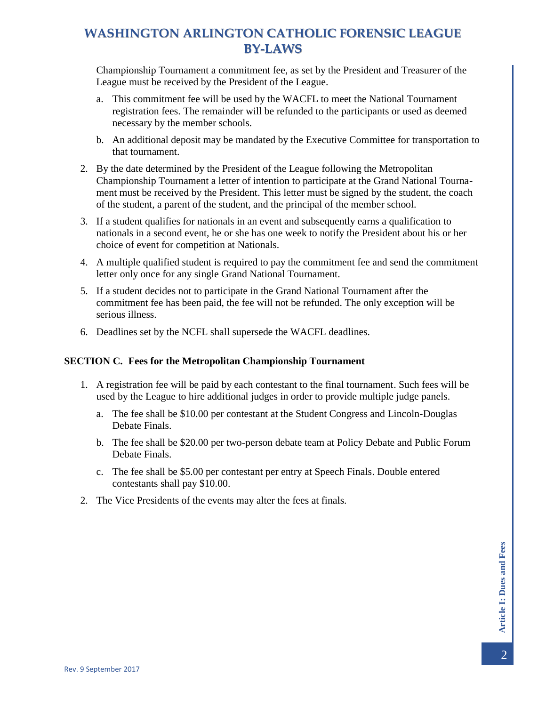Championship Tournament a commitment fee, as set by the President and Treasurer of the League must be received by the President of the League.

- a. This commitment fee will be used by the WACFL to meet the National Tournament registration fees. The remainder will be refunded to the participants or used as deemed necessary by the member schools.
- b. An additional deposit may be mandated by the Executive Committee for transportation to that tournament.
- 2. By the date determined by the President of the League following the Metropolitan Championship Tournament a letter of intention to participate at the Grand National Tournament must be received by the President. This letter must be signed by the student, the coach of the student, a parent of the student, and the principal of the member school.
- 3. If a student qualifies for nationals in an event and subsequently earns a qualification to nationals in a second event, he or she has one week to notify the President about his or her choice of event for competition at Nationals.
- 4. A multiple qualified student is required to pay the commitment fee and send the commitment letter only once for any single Grand National Tournament.
- 5. If a student decides not to participate in the Grand National Tournament after the commitment fee has been paid, the fee will not be refunded. The only exception will be serious illness.
- 6. Deadlines set by the NCFL shall supersede the WACFL deadlines.

#### <span id="page-2-0"></span>**SECTION C. Fees for the Metropolitan Championship Tournament**

- 1. A registration fee will be paid by each contestant to the final tournament. Such fees will be used by the League to hire additional judges in order to provide multiple judge panels.
	- a. The fee shall be \$10.00 per contestant at the Student Congress and Lincoln-Douglas Debate Finals.
	- b. The fee shall be \$20.00 per two-person debate team at Policy Debate and Public Forum Debate Finals.
	- c. The fee shall be \$5.00 per contestant per entry at Speech Finals. Double entered contestants shall pay \$10.00.
- 2. The Vice Presidents of the events may alter the fees at finals.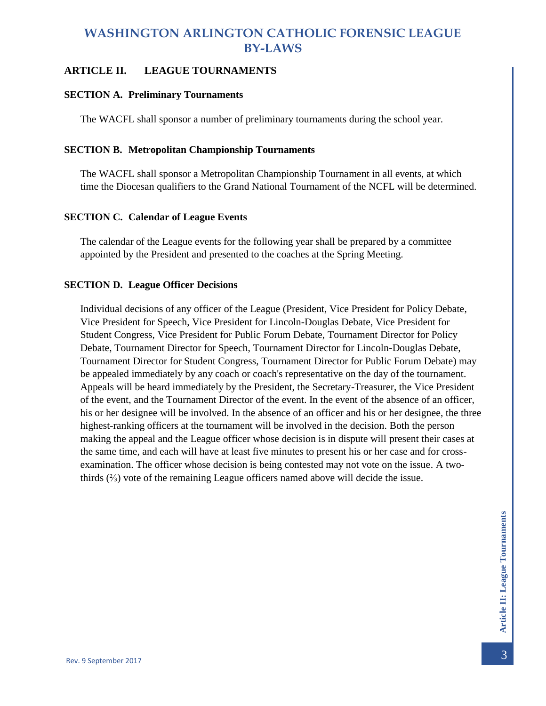### <span id="page-3-0"></span>**ARTICLE II. LEAGUE TOURNAMENTS**

#### <span id="page-3-1"></span>**SECTION A. Preliminary Tournaments**

The WACFL shall sponsor a number of preliminary tournaments during the school year.

#### <span id="page-3-2"></span>**SECTION B. Metropolitan Championship Tournaments**

The WACFL shall sponsor a Metropolitan Championship Tournament in all events, at which time the Diocesan qualifiers to the Grand National Tournament of the NCFL will be determined.

#### <span id="page-3-3"></span>**SECTION C. Calendar of League Events**

The calendar of the League events for the following year shall be prepared by a committee appointed by the President and presented to the coaches at the Spring Meeting.

#### <span id="page-3-4"></span>**SECTION D. League Officer Decisions**

Individual decisions of any officer of the League (President, Vice President for Policy Debate, Vice President for Speech, Vice President for Lincoln-Douglas Debate, Vice President for Student Congress, Vice President for Public Forum Debate, Tournament Director for Policy Debate, Tournament Director for Speech, Tournament Director for Lincoln-Douglas Debate, Tournament Director for Student Congress, Tournament Director for Public Forum Debate) may be appealed immediately by any coach or coach's representative on the day of the tournament. Appeals will be heard immediately by the President, the Secretary-Treasurer, the Vice President of the event, and the Tournament Director of the event. In the event of the absence of an officer, his or her designee will be involved. In the absence of an officer and his or her designee, the three highest-ranking officers at the tournament will be involved in the decision. Both the person making the appeal and the League officer whose decision is in dispute will present their cases at the same time, and each will have at least five minutes to present his or her case and for crossexamination. The officer whose decision is being contested may not vote on the issue. A twothirds (⅔) vote of the remaining League officers named above will decide the issue.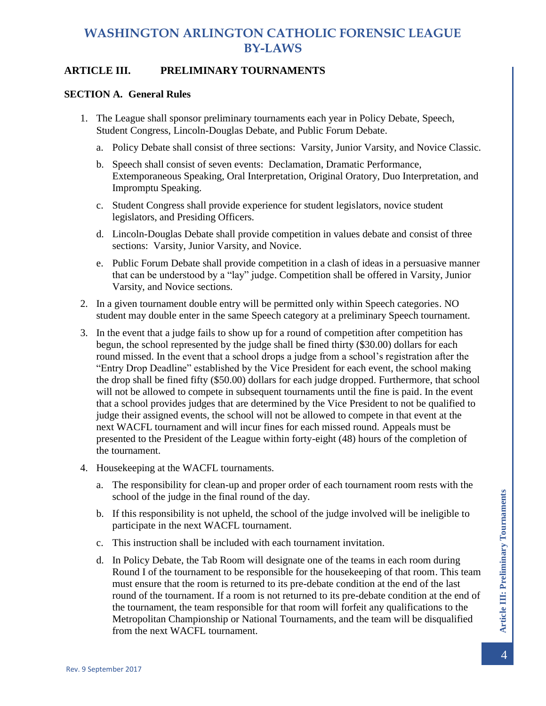### <span id="page-4-0"></span>**ARTICLE III. PRELIMINARY TOURNAMENTS**

#### <span id="page-4-1"></span>**SECTION A. General Rules**

- 1. The League shall sponsor preliminary tournaments each year in Policy Debate, Speech, Student Congress, Lincoln-Douglas Debate, and Public Forum Debate.
	- a. Policy Debate shall consist of three sections: Varsity, Junior Varsity, and Novice Classic.
	- b. Speech shall consist of seven events: Declamation, Dramatic Performance, Extemporaneous Speaking, Oral Interpretation, Original Oratory, Duo Interpretation, and Impromptu Speaking.
	- c. Student Congress shall provide experience for student legislators, novice student legislators, and Presiding Officers.
	- d. Lincoln-Douglas Debate shall provide competition in values debate and consist of three sections: Varsity, Junior Varsity, and Novice.
	- e. Public Forum Debate shall provide competition in a clash of ideas in a persuasive manner that can be understood by a "lay" judge. Competition shall be offered in Varsity, Junior Varsity, and Novice sections.
- 2. In a given tournament double entry will be permitted only within Speech categories. NO student may double enter in the same Speech category at a preliminary Speech tournament.
- 3. In the event that a judge fails to show up for a round of competition after competition has begun, the school represented by the judge shall be fined thirty (\$30.00) dollars for each round missed. In the event that a school drops a judge from a school's registration after the "Entry Drop Deadline" established by the Vice President for each event, the school making the drop shall be fined fifty (\$50.00) dollars for each judge dropped. Furthermore, that school will not be allowed to compete in subsequent tournaments until the fine is paid. In the event that a school provides judges that are determined by the Vice President to not be qualified to judge their assigned events, the school will not be allowed to compete in that event at the next WACFL tournament and will incur fines for each missed round. Appeals must be presented to the President of the League within forty-eight (48) hours of the completion of the tournament.
- 4. Housekeeping at the WACFL tournaments.
	- a. The responsibility for clean-up and proper order of each tournament room rests with the school of the judge in the final round of the day.
	- b. If this responsibility is not upheld, the school of the judge involved will be ineligible to participate in the next WACFL tournament.
	- c. This instruction shall be included with each tournament invitation.
	- d. In Policy Debate, the Tab Room will designate one of the teams in each room during Round I of the tournament to be responsible for the housekeeping of that room. This team must ensure that the room is returned to its pre-debate condition at the end of the last round of the tournament. If a room is not returned to its pre-debate condition at the end of the tournament, the team responsible for that room will forfeit any qualifications to the Metropolitan Championship or National Tournaments, and the team will be disqualified from the next WACFL tournament.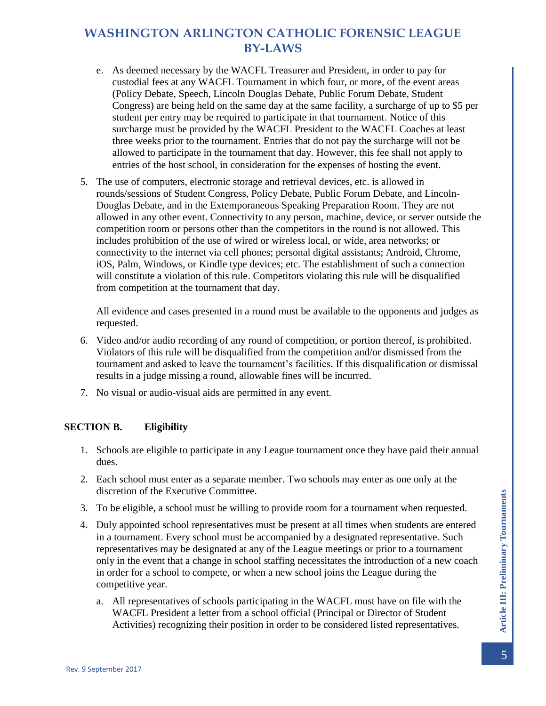- e. As deemed necessary by the WACFL Treasurer and President, in order to pay for custodial fees at any WACFL Tournament in which four, or more, of the event areas (Policy Debate, Speech, Lincoln Douglas Debate, Public Forum Debate, Student Congress) are being held on the same day at the same facility, a surcharge of up to \$5 per student per entry may be required to participate in that tournament. Notice of this surcharge must be provided by the WACFL President to the WACFL Coaches at least three weeks prior to the tournament. Entries that do not pay the surcharge will not be allowed to participate in the tournament that day. However, this fee shall not apply to entries of the host school, in consideration for the expenses of hosting the event.
- 5. The use of computers, electronic storage and retrieval devices, etc. is allowed in rounds/sessions of Student Congress, Policy Debate, Public Forum Debate, and Lincoln-Douglas Debate, and in the Extemporaneous Speaking Preparation Room. They are not allowed in any other event. Connectivity to any person, machine, device, or server outside the competition room or persons other than the competitors in the round is not allowed. This includes prohibition of the use of wired or wireless local, or wide, area networks; or connectivity to the internet via cell phones; personal digital assistants; Android, Chrome, iOS, Palm, Windows, or Kindle type devices; etc. The establishment of such a connection will constitute a violation of this rule. Competitors violating this rule will be disqualified from competition at the tournament that day.

All evidence and cases presented in a round must be available to the opponents and judges as requested.

- 6. Video and/or audio recording of any round of competition, or portion thereof, is prohibited. Violators of this rule will be disqualified from the competition and/or dismissed from the tournament and asked to leave the tournament's facilities. If this disqualification or dismissal results in a judge missing a round, allowable fines will be incurred.
- 7. No visual or audio-visual aids are permitted in any event.

#### <span id="page-5-0"></span>**SECTION B. Eligibility**

- 1. Schools are eligible to participate in any League tournament once they have paid their annual dues.
- 2. Each school must enter as a separate member. Two schools may enter as one only at the discretion of the Executive Committee.
- 3. To be eligible, a school must be willing to provide room for a tournament when requested.
- 4. Duly appointed school representatives must be present at all times when students are entered in a tournament. Every school must be accompanied by a designated representative. Such representatives may be designated at any of the League meetings or prior to a tournament only in the event that a change in school staffing necessitates the introduction of a new coach in order for a school to compete, or when a new school joins the League during the competitive year.
	- a. All representatives of schools participating in the WACFL must have on file with the WACFL President a letter from a school official (Principal or Director of Student Activities) recognizing their position in order to be considered listed representatives.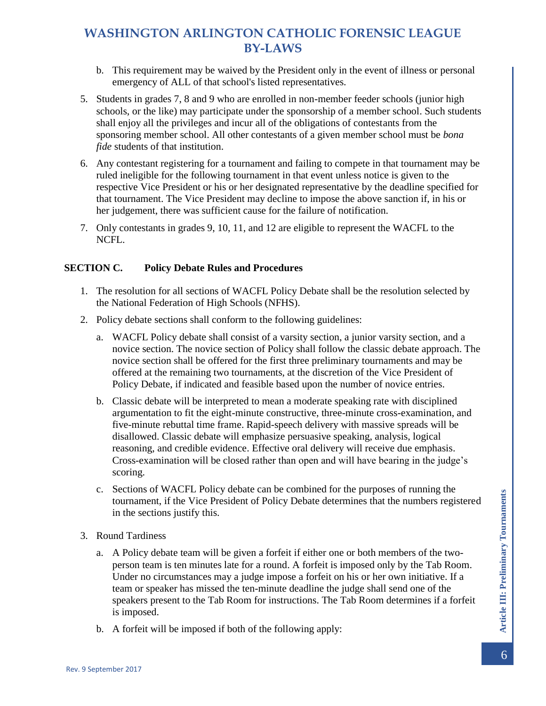- b. This requirement may be waived by the President only in the event of illness or personal emergency of ALL of that school's listed representatives.
- 5. Students in grades 7, 8 and 9 who are enrolled in non-member feeder schools (junior high schools, or the like) may participate under the sponsorship of a member school. Such students shall enjoy all the privileges and incur all of the obligations of contestants from the sponsoring member school. All other contestants of a given member school must be *bona fide* students of that institution.
- 6. Any contestant registering for a tournament and failing to compete in that tournament may be ruled ineligible for the following tournament in that event unless notice is given to the respective Vice President or his or her designated representative by the deadline specified for that tournament. The Vice President may decline to impose the above sanction if, in his or her judgement, there was sufficient cause for the failure of notification.
- 7. Only contestants in grades 9, 10, 11, and 12 are eligible to represent the WACFL to the NCFL.

#### <span id="page-6-0"></span>**SECTION C. Policy Debate Rules and Procedures**

- 1. The resolution for all sections of WACFL Policy Debate shall be the resolution selected by the National Federation of High Schools (NFHS).
- 2. Policy debate sections shall conform to the following guidelines:
	- a. WACFL Policy debate shall consist of a varsity section, a junior varsity section, and a novice section. The novice section of Policy shall follow the classic debate approach. The novice section shall be offered for the first three preliminary tournaments and may be offered at the remaining two tournaments, at the discretion of the Vice President of Policy Debate, if indicated and feasible based upon the number of novice entries.
	- b. Classic debate will be interpreted to mean a moderate speaking rate with disciplined argumentation to fit the eight-minute constructive, three-minute cross-examination, and five-minute rebuttal time frame. Rapid-speech delivery with massive spreads will be disallowed. Classic debate will emphasize persuasive speaking, analysis, logical reasoning, and credible evidence. Effective oral delivery will receive due emphasis. Cross-examination will be closed rather than open and will have bearing in the judge's scoring.
	- c. Sections of WACFL Policy debate can be combined for the purposes of running the tournament, if the Vice President of Policy Debate determines that the numbers registered in the sections justify this.
- 3. Round Tardiness
	- a. A Policy debate team will be given a forfeit if either one or both members of the twoperson team is ten minutes late for a round. A forfeit is imposed only by the Tab Room. Under no circumstances may a judge impose a forfeit on his or her own initiative. If a team or speaker has missed the ten-minute deadline the judge shall send one of the speakers present to the Tab Room for instructions. The Tab Room determines if a forfeit is imposed.
	- b. A forfeit will be imposed if both of the following apply: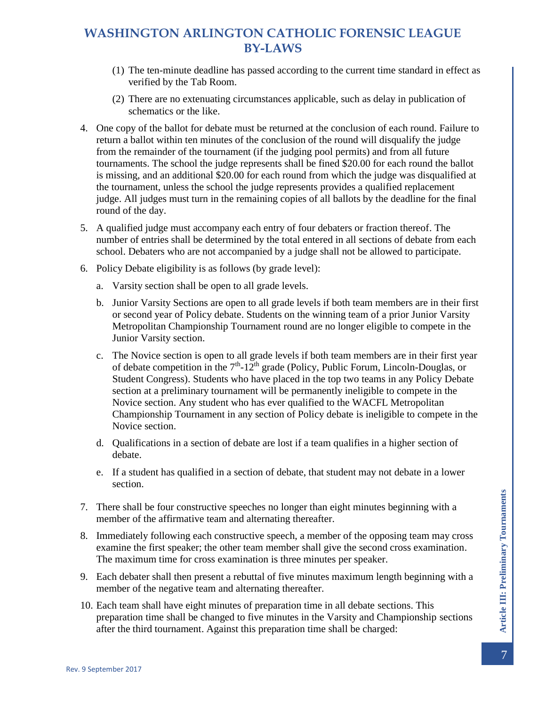- (1) The ten-minute deadline has passed according to the current time standard in effect as verified by the Tab Room.
- (2) There are no extenuating circumstances applicable, such as delay in publication of schematics or the like.
- 4. One copy of the ballot for debate must be returned at the conclusion of each round. Failure to return a ballot within ten minutes of the conclusion of the round will disqualify the judge from the remainder of the tournament (if the judging pool permits) and from all future tournaments. The school the judge represents shall be fined \$20.00 for each round the ballot is missing, and an additional \$20.00 for each round from which the judge was disqualified at the tournament, unless the school the judge represents provides a qualified replacement judge. All judges must turn in the remaining copies of all ballots by the deadline for the final round of the day.
- 5. A qualified judge must accompany each entry of four debaters or fraction thereof. The number of entries shall be determined by the total entered in all sections of debate from each school. Debaters who are not accompanied by a judge shall not be allowed to participate.
- 6. Policy Debate eligibility is as follows (by grade level):
	- a. Varsity section shall be open to all grade levels.
	- b. Junior Varsity Sections are open to all grade levels if both team members are in their first or second year of Policy debate. Students on the winning team of a prior Junior Varsity Metropolitan Championship Tournament round are no longer eligible to compete in the Junior Varsity section.
	- c. The Novice section is open to all grade levels if both team members are in their first year of debate competition in the  $7<sup>th</sup>$ -12<sup>th</sup> grade (Policy, Public Forum, Lincoln-Douglas, or Student Congress). Students who have placed in the top two teams in any Policy Debate section at a preliminary tournament will be permanently ineligible to compete in the Novice section. Any student who has ever qualified to the WACFL Metropolitan Championship Tournament in any section of Policy debate is ineligible to compete in the Novice section.
	- d. Qualifications in a section of debate are lost if a team qualifies in a higher section of debate.
	- e. If a student has qualified in a section of debate, that student may not debate in a lower section.
- 7. There shall be four constructive speeches no longer than eight minutes beginning with a member of the affirmative team and alternating thereafter.
- 8. Immediately following each constructive speech, a member of the opposing team may cross examine the first speaker; the other team member shall give the second cross examination. The maximum time for cross examination is three minutes per speaker.
- 9. Each debater shall then present a rebuttal of five minutes maximum length beginning with a member of the negative team and alternating thereafter.
- 10. Each team shall have eight minutes of preparation time in all debate sections. This preparation time shall be changed to five minutes in the Varsity and Championship sections after the third tournament. Against this preparation time shall be charged: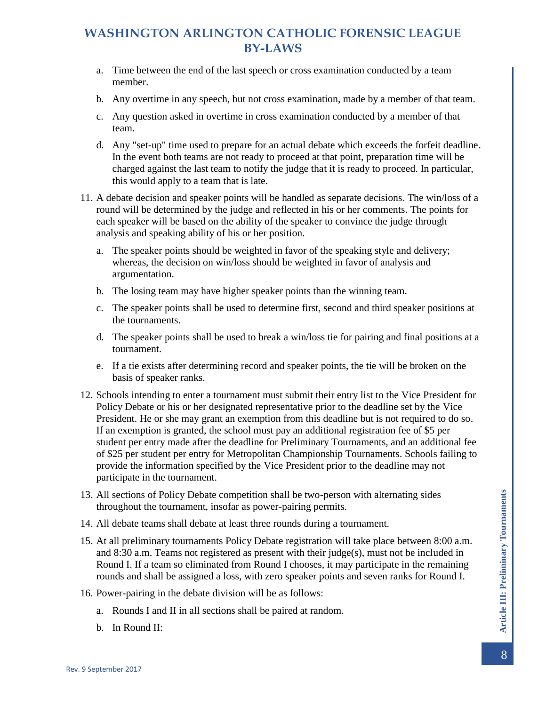- a. Time between the end of the last speech or cross examination conducted by a team member.
- b. Any overtime in any speech, but not cross examination, made by a member of that team.
- c. Any question asked in overtime in cross examination conducted by a member of that team.
- d. Any "set-up" time used to prepare for an actual debate which exceeds the forfeit deadline. In the event both teams are not ready to proceed at that point, preparation time will be charged against the last team to notify the judge that it is ready to proceed. In particular, this would apply to a team that is late.
- 11. A debate decision and speaker points will be handled as separate decisions. The win/loss of a round will be determined by the judge and reflected in his or her comments. The points for each speaker will be based on the ability of the speaker to convince the judge through analysis and speaking ability of his or her position.
	- a. The speaker points should be weighted in favor of the speaking style and delivery; whereas, the decision on win/loss should be weighted in favor of analysis and argumentation.
	- b. The losing team may have higher speaker points than the winning team.
	- c. The speaker points shall be used to determine first, second and third speaker positions at the tournaments.
	- d. The speaker points shall be used to break a win/loss tie for pairing and final positions at a tournament.
	- e. If a tie exists after determining record and speaker points, the tie will be broken on the basis of speaker ranks.
- 12. Schools intending to enter a tournament must submit their entry list to the Vice President for Policy Debate or his or her designated representative prior to the deadline set by the Vice President. He or she may grant an exemption from this deadline but is not required to do so. If an exemption is granted, the school must pay an additional registration fee of \$5 per student per entry made after the deadline for Preliminary Tournaments, and an additional fee of \$25 per student per entry for Metropolitan Championship Tournaments. Schools failing to provide the information specified by the Vice President prior to the deadline may not participate in the tournament.
- 13. All sections of Policy Debate competition shall be two-person with alternating sides throughout the tournament, insofar as power-pairing permits.
- 14. All debate teams shall debate at least three rounds during a tournament.
- 15. At all preliminary tournaments Policy Debate registration will take place between 8:00 a.m. and 8:30 a.m. Teams not registered as present with their judge(s), must not be included in Round I. If a team so eliminated from Round I chooses, it may participate in the remaining rounds and shall be assigned a loss, with zero speaker points and seven ranks for Round I.
- 16. Power-pairing in the debate division will be as follows:
	- a. Rounds I and II in all sections shall be paired at random.
	- b. In Round II: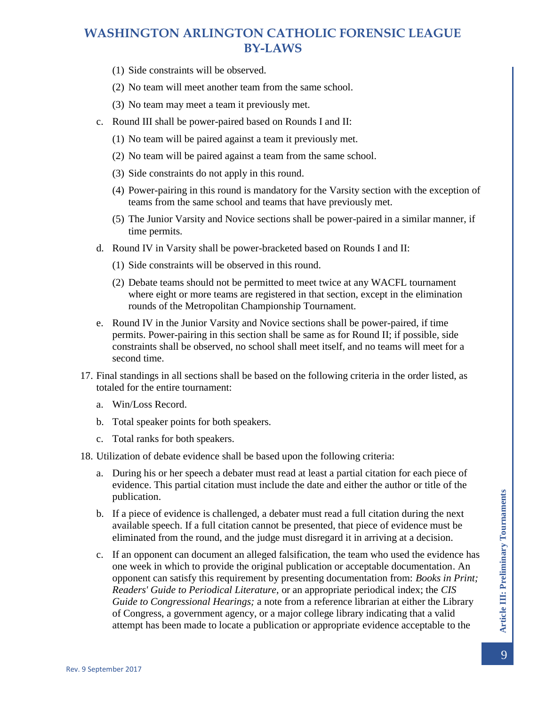- (1) Side constraints will be observed.
- (2) No team will meet another team from the same school.
- (3) No team may meet a team it previously met.
- c. Round III shall be power-paired based on Rounds I and II:
	- (1) No team will be paired against a team it previously met.
	- (2) No team will be paired against a team from the same school.
	- (3) Side constraints do not apply in this round.
	- (4) Power-pairing in this round is mandatory for the Varsity section with the exception of teams from the same school and teams that have previously met.
	- (5) The Junior Varsity and Novice sections shall be power-paired in a similar manner, if time permits.
- d. Round IV in Varsity shall be power-bracketed based on Rounds I and II:
	- (1) Side constraints will be observed in this round.
	- (2) Debate teams should not be permitted to meet twice at any WACFL tournament where eight or more teams are registered in that section, except in the elimination rounds of the Metropolitan Championship Tournament.
- e. Round IV in the Junior Varsity and Novice sections shall be power-paired, if time permits. Power-pairing in this section shall be same as for Round II; if possible, side constraints shall be observed, no school shall meet itself, and no teams will meet for a second time.
- 17. Final standings in all sections shall be based on the following criteria in the order listed, as totaled for the entire tournament:
	- a. Win/Loss Record.
	- b. Total speaker points for both speakers.
	- c. Total ranks for both speakers.
- 18. Utilization of debate evidence shall be based upon the following criteria:
	- a. During his or her speech a debater must read at least a partial citation for each piece of evidence. This partial citation must include the date and either the author or title of the publication.
	- b. If a piece of evidence is challenged, a debater must read a full citation during the next available speech. If a full citation cannot be presented, that piece of evidence must be eliminated from the round, and the judge must disregard it in arriving at a decision.
	- c. If an opponent can document an alleged falsification, the team who used the evidence has one week in which to provide the original publication or acceptable documentation. An opponent can satisfy this requirement by presenting documentation from: *Books in Print; Readers' Guide to Periodical Literature,* or an appropriate periodical index; the *CIS Guide to Congressional Hearings;* a note from a reference librarian at either the Library of Congress, a government agency, or a major college library indicating that a valid attempt has been made to locate a publication or appropriate evidence acceptable to the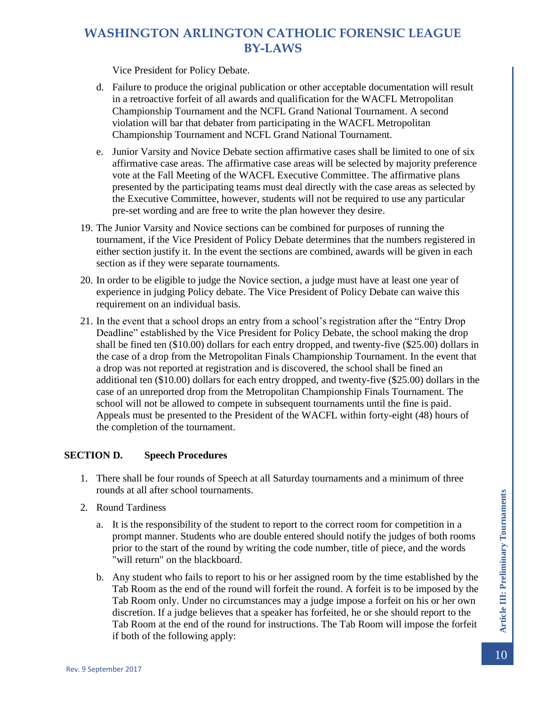Vice President for Policy Debate.

- d. Failure to produce the original publication or other acceptable documentation will result in a retroactive forfeit of all awards and qualification for the WACFL Metropolitan Championship Tournament and the NCFL Grand National Tournament. A second violation will bar that debater from participating in the WACFL Metropolitan Championship Tournament and NCFL Grand National Tournament.
- e. Junior Varsity and Novice Debate section affirmative cases shall be limited to one of six affirmative case areas. The affirmative case areas will be selected by majority preference vote at the Fall Meeting of the WACFL Executive Committee. The affirmative plans presented by the participating teams must deal directly with the case areas as selected by the Executive Committee, however, students will not be required to use any particular pre-set wording and are free to write the plan however they desire.
- 19. The Junior Varsity and Novice sections can be combined for purposes of running the tournament, if the Vice President of Policy Debate determines that the numbers registered in either section justify it. In the event the sections are combined, awards will be given in each section as if they were separate tournaments.
- 20. In order to be eligible to judge the Novice section, a judge must have at least one year of experience in judging Policy debate. The Vice President of Policy Debate can waive this requirement on an individual basis.
- 21. In the event that a school drops an entry from a school's registration after the "Entry Drop Deadline" established by the Vice President for Policy Debate, the school making the drop shall be fined ten (\$10.00) dollars for each entry dropped, and twenty-five (\$25.00) dollars in the case of a drop from the Metropolitan Finals Championship Tournament. In the event that a drop was not reported at registration and is discovered, the school shall be fined an additional ten (\$10.00) dollars for each entry dropped, and twenty-five (\$25.00) dollars in the case of an unreported drop from the Metropolitan Championship Finals Tournament. The school will not be allowed to compete in subsequent tournaments until the fine is paid. Appeals must be presented to the President of the WACFL within forty-eight (48) hours of the completion of the tournament.

### <span id="page-10-0"></span>**SECTION D. Speech Procedures**

- 1. There shall be four rounds of Speech at all Saturday tournaments and a minimum of three rounds at all after school tournaments.
- 2. Round Tardiness
	- a. It is the responsibility of the student to report to the correct room for competition in a prompt manner. Students who are double entered should notify the judges of both rooms prior to the start of the round by writing the code number, title of piece, and the words "will return" on the blackboard.
	- b. Any student who fails to report to his or her assigned room by the time established by the Tab Room as the end of the round will forfeit the round. A forfeit is to be imposed by the Tab Room only. Under no circumstances may a judge impose a forfeit on his or her own discretion. If a judge believes that a speaker has forfeited, he or she should report to the Tab Room at the end of the round for instructions. The Tab Room will impose the forfeit if both of the following apply: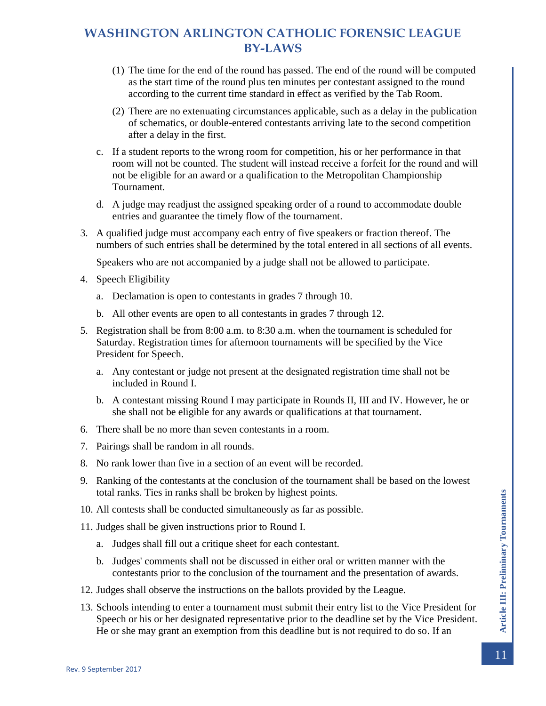- (1) The time for the end of the round has passed. The end of the round will be computed as the start time of the round plus ten minutes per contestant assigned to the round according to the current time standard in effect as verified by the Tab Room.
- (2) There are no extenuating circumstances applicable, such as a delay in the publication of schematics, or double-entered contestants arriving late to the second competition after a delay in the first.
- c. If a student reports to the wrong room for competition, his or her performance in that room will not be counted. The student will instead receive a forfeit for the round and will not be eligible for an award or a qualification to the Metropolitan Championship Tournament.
- d. A judge may readjust the assigned speaking order of a round to accommodate double entries and guarantee the timely flow of the tournament.
- 3. A qualified judge must accompany each entry of five speakers or fraction thereof. The numbers of such entries shall be determined by the total entered in all sections of all events.

Speakers who are not accompanied by a judge shall not be allowed to participate.

- 4. Speech Eligibility
	- a. Declamation is open to contestants in grades 7 through 10.
	- b. All other events are open to all contestants in grades 7 through 12.
- 5. Registration shall be from 8:00 a.m. to 8:30 a.m. when the tournament is scheduled for Saturday. Registration times for afternoon tournaments will be specified by the Vice President for Speech.
	- a. Any contestant or judge not present at the designated registration time shall not be included in Round I.
	- b. A contestant missing Round I may participate in Rounds II, III and IV. However, he or she shall not be eligible for any awards or qualifications at that tournament.
- 6. There shall be no more than seven contestants in a room.
- 7. Pairings shall be random in all rounds.
- 8. No rank lower than five in a section of an event will be recorded.
- 9. Ranking of the contestants at the conclusion of the tournament shall be based on the lowest total ranks. Ties in ranks shall be broken by highest points.
- 10. All contests shall be conducted simultaneously as far as possible.
- 11. Judges shall be given instructions prior to Round I.
	- a. Judges shall fill out a critique sheet for each contestant.
	- b. Judges' comments shall not be discussed in either oral or written manner with the contestants prior to the conclusion of the tournament and the presentation of awards.
- 12. Judges shall observe the instructions on the ballots provided by the League.
- 13. Schools intending to enter a tournament must submit their entry list to the Vice President for Speech or his or her designated representative prior to the deadline set by the Vice President. He or she may grant an exemption from this deadline but is not required to do so. If an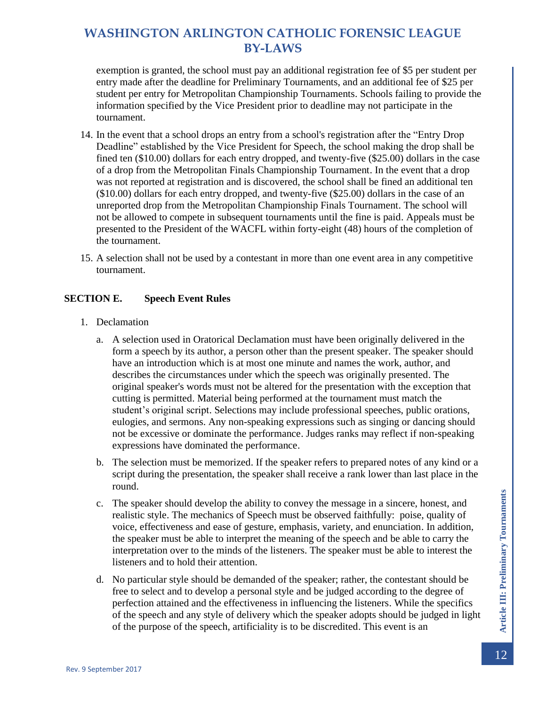exemption is granted, the school must pay an additional registration fee of \$5 per student per entry made after the deadline for Preliminary Tournaments, and an additional fee of \$25 per student per entry for Metropolitan Championship Tournaments. Schools failing to provide the information specified by the Vice President prior to deadline may not participate in the tournament.

- 14. In the event that a school drops an entry from a school's registration after the "Entry Drop Deadline" established by the Vice President for Speech, the school making the drop shall be fined ten (\$10.00) dollars for each entry dropped, and twenty-five (\$25.00) dollars in the case of a drop from the Metropolitan Finals Championship Tournament. In the event that a drop was not reported at registration and is discovered, the school shall be fined an additional ten (\$10.00) dollars for each entry dropped, and twenty-five (\$25.00) dollars in the case of an unreported drop from the Metropolitan Championship Finals Tournament. The school will not be allowed to compete in subsequent tournaments until the fine is paid. Appeals must be presented to the President of the WACFL within forty-eight (48) hours of the completion of the tournament.
- 15. A selection shall not be used by a contestant in more than one event area in any competitive tournament.

### <span id="page-12-0"></span>**SECTION E. Speech Event Rules**

- 1. Declamation
	- a. A selection used in Oratorical Declamation must have been originally delivered in the form a speech by its author, a person other than the present speaker. The speaker should have an introduction which is at most one minute and names the work, author, and describes the circumstances under which the speech was originally presented. The original speaker's words must not be altered for the presentation with the exception that cutting is permitted. Material being performed at the tournament must match the student's original script. Selections may include professional speeches, public orations, eulogies, and sermons. Any non-speaking expressions such as singing or dancing should not be excessive or dominate the performance. Judges ranks may reflect if non-speaking expressions have dominated the performance.
	- b. The selection must be memorized. If the speaker refers to prepared notes of any kind or a script during the presentation, the speaker shall receive a rank lower than last place in the round.
	- c. The speaker should develop the ability to convey the message in a sincere, honest, and realistic style. The mechanics of Speech must be observed faithfully: poise, quality of voice, effectiveness and ease of gesture, emphasis, variety, and enunciation. In addition, the speaker must be able to interpret the meaning of the speech and be able to carry the interpretation over to the minds of the listeners. The speaker must be able to interest the listeners and to hold their attention.
	- d. No particular style should be demanded of the speaker; rather, the contestant should be free to select and to develop a personal style and be judged according to the degree of perfection attained and the effectiveness in influencing the listeners. While the specifics of the speech and any style of delivery which the speaker adopts should be judged in light of the purpose of the speech, artificiality is to be discredited. This event is an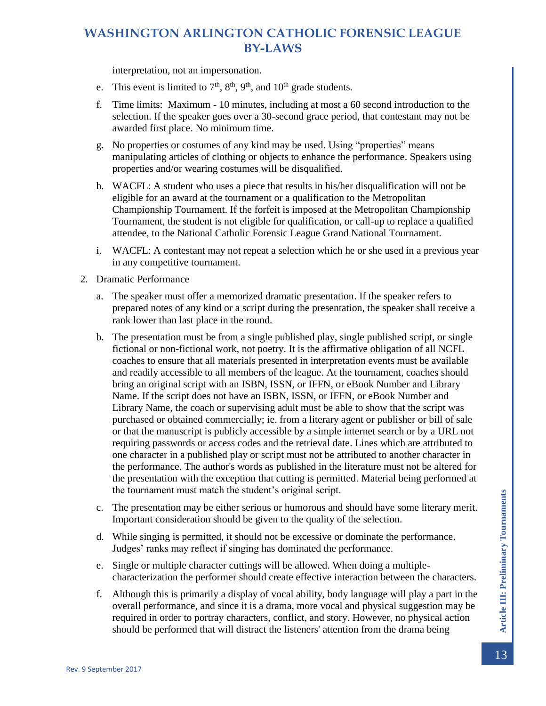interpretation, not an impersonation.

- e. This event is limited to  $7<sup>th</sup>$ ,  $8<sup>th</sup>$ ,  $9<sup>th</sup>$ , and  $10<sup>th</sup>$  grade students.
- f. Time limits: Maximum 10 minutes, including at most a 60 second introduction to the selection. If the speaker goes over a 30-second grace period, that contestant may not be awarded first place. No minimum time.
- g. No properties or costumes of any kind may be used. Using "properties" means manipulating articles of clothing or objects to enhance the performance. Speakers using properties and/or wearing costumes will be disqualified.
- h. WACFL: A student who uses a piece that results in his/her disqualification will not be eligible for an award at the tournament or a qualification to the Metropolitan Championship Tournament. If the forfeit is imposed at the Metropolitan Championship Tournament, the student is not eligible for qualification, or call-up to replace a qualified attendee, to the National Catholic Forensic League Grand National Tournament.
- i. WACFL: A contestant may not repeat a selection which he or she used in a previous year in any competitive tournament.
- 2. Dramatic Performance
	- a. The speaker must offer a memorized dramatic presentation. If the speaker refers to prepared notes of any kind or a script during the presentation, the speaker shall receive a rank lower than last place in the round.
	- b. The presentation must be from a single published play, single published script, or single fictional or non-fictional work, not poetry. It is the affirmative obligation of all NCFL coaches to ensure that all materials presented in interpretation events must be available and readily accessible to all members of the league. At the tournament, coaches should bring an original script with an ISBN, ISSN, or IFFN, or eBook Number and Library Name. If the script does not have an ISBN, ISSN, or IFFN, or eBook Number and Library Name, the coach or supervising adult must be able to show that the script was purchased or obtained commercially; ie. from a literary agent or publisher or bill of sale or that the manuscript is publicly accessible by a simple internet search or by a URL not requiring passwords or access codes and the retrieval date. Lines which are attributed to one character in a published play or script must not be attributed to another character in the performance. The author's words as published in the literature must not be altered for the presentation with the exception that cutting is permitted. Material being performed at the tournament must match the student's original script.
	- c. The presentation may be either serious or humorous and should have some literary merit. Important consideration should be given to the quality of the selection.
	- d. While singing is permitted, it should not be excessive or dominate the performance. Judges' ranks may reflect if singing has dominated the performance.
	- e. Single or multiple character cuttings will be allowed. When doing a multiplecharacterization the performer should create effective interaction between the characters.
	- f. Although this is primarily a display of vocal ability, body language will play a part in the overall performance, and since it is a drama, more vocal and physical suggestion may be required in order to portray characters, conflict, and story. However, no physical action should be performed that will distract the listeners' attention from the drama being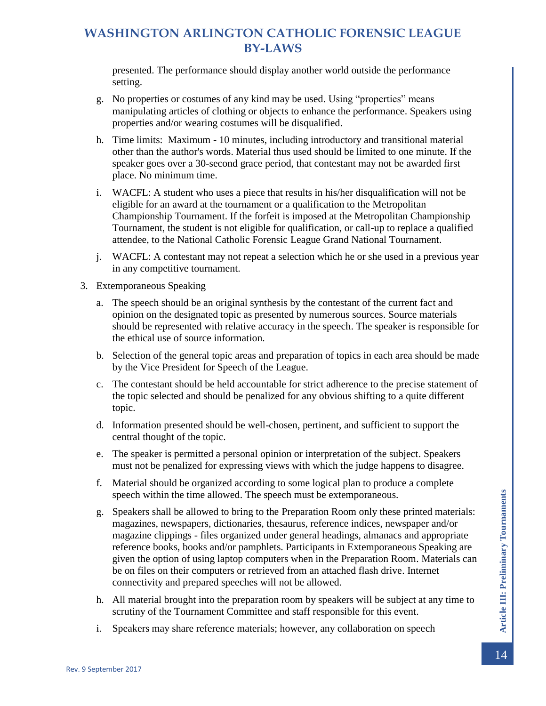presented. The performance should display another world outside the performance setting.

- g. No properties or costumes of any kind may be used. Using "properties" means manipulating articles of clothing or objects to enhance the performance. Speakers using properties and/or wearing costumes will be disqualified.
- h. Time limits: Maximum 10 minutes, including introductory and transitional material other than the author's words. Material thus used should be limited to one minute. If the speaker goes over a 30-second grace period, that contestant may not be awarded first place. No minimum time.
- i. WACFL: A student who uses a piece that results in his/her disqualification will not be eligible for an award at the tournament or a qualification to the Metropolitan Championship Tournament. If the forfeit is imposed at the Metropolitan Championship Tournament, the student is not eligible for qualification, or call-up to replace a qualified attendee, to the National Catholic Forensic League Grand National Tournament.
- j. WACFL: A contestant may not repeat a selection which he or she used in a previous year in any competitive tournament.
- 3. Extemporaneous Speaking
	- a. The speech should be an original synthesis by the contestant of the current fact and opinion on the designated topic as presented by numerous sources. Source materials should be represented with relative accuracy in the speech. The speaker is responsible for the ethical use of source information.
	- b. Selection of the general topic areas and preparation of topics in each area should be made by the Vice President for Speech of the League.
	- c. The contestant should be held accountable for strict adherence to the precise statement of the topic selected and should be penalized for any obvious shifting to a quite different topic.
	- d. Information presented should be well-chosen, pertinent, and sufficient to support the central thought of the topic.
	- e. The speaker is permitted a personal opinion or interpretation of the subject. Speakers must not be penalized for expressing views with which the judge happens to disagree.
	- f. Material should be organized according to some logical plan to produce a complete speech within the time allowed. The speech must be extemporaneous.
	- g. Speakers shall be allowed to bring to the Preparation Room only these printed materials: magazines, newspapers, dictionaries, thesaurus, reference indices, newspaper and/or magazine clippings - files organized under general headings, almanacs and appropriate reference books, books and/or pamphlets. Participants in Extemporaneous Speaking are given the option of using laptop computers when in the Preparation Room. Materials can be on files on their computers or retrieved from an attached flash drive. Internet connectivity and prepared speeches will not be allowed.
	- h. All material brought into the preparation room by speakers will be subject at any time to scrutiny of the Tournament Committee and staff responsible for this event.
	- i. Speakers may share reference materials; however, any collaboration on speech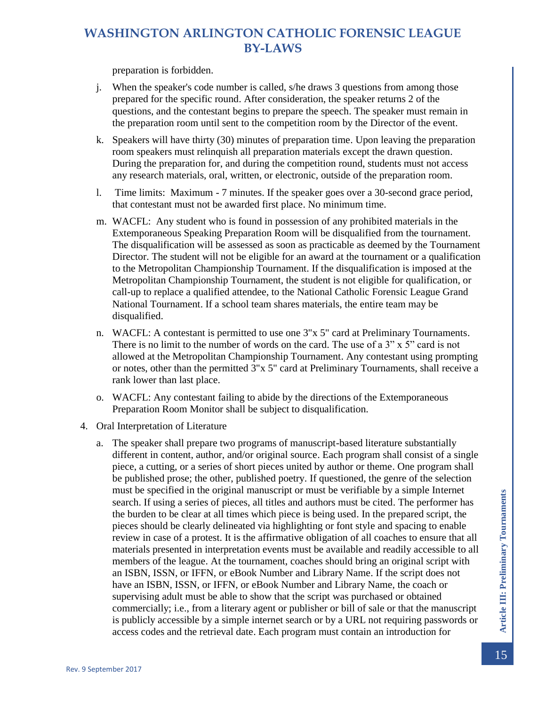preparation is forbidden.

- j. When the speaker's code number is called, s/he draws 3 questions from among those prepared for the specific round. After consideration, the speaker returns 2 of the questions, and the contestant begins to prepare the speech. The speaker must remain in the preparation room until sent to the competition room by the Director of the event.
- k. Speakers will have thirty (30) minutes of preparation time. Upon leaving the preparation room speakers must relinquish all preparation materials except the drawn question. During the preparation for, and during the competition round, students must not access any research materials, oral, written, or electronic, outside of the preparation room.
- l. Time limits: Maximum 7 minutes. If the speaker goes over a 30-second grace period, that contestant must not be awarded first place. No minimum time.
- m. WACFL: Any student who is found in possession of any prohibited materials in the Extemporaneous Speaking Preparation Room will be disqualified from the tournament. The disqualification will be assessed as soon as practicable as deemed by the Tournament Director. The student will not be eligible for an award at the tournament or a qualification to the Metropolitan Championship Tournament. If the disqualification is imposed at the Metropolitan Championship Tournament, the student is not eligible for qualification, or call-up to replace a qualified attendee, to the National Catholic Forensic League Grand National Tournament. If a school team shares materials, the entire team may be disqualified.
- n. WACFL: A contestant is permitted to use one 3"x 5" card at Preliminary Tournaments. There is no limit to the number of words on the card. The use of a 3" x 5" card is not allowed at the Metropolitan Championship Tournament. Any contestant using prompting or notes, other than the permitted 3"x 5" card at Preliminary Tournaments, shall receive a rank lower than last place.
- o. WACFL: Any contestant failing to abide by the directions of the Extemporaneous Preparation Room Monitor shall be subject to disqualification.
- 4. Oral Interpretation of Literature
	- a. The speaker shall prepare two programs of manuscript-based literature substantially different in content, author, and/or original source. Each program shall consist of a single piece, a cutting, or a series of short pieces united by author or theme. One program shall be published prose; the other, published poetry. If questioned, the genre of the selection must be specified in the original manuscript or must be verifiable by a simple Internet search. If using a series of pieces, all titles and authors must be cited. The performer has the burden to be clear at all times which piece is being used. In the prepared script, the pieces should be clearly delineated via highlighting or font style and spacing to enable review in case of a protest. It is the affirmative obligation of all coaches to ensure that all materials presented in interpretation events must be available and readily accessible to all members of the league. At the tournament, coaches should bring an original script with an ISBN, ISSN, or IFFN, or eBook Number and Library Name. If the script does not have an ISBN, ISSN, or IFFN, or eBook Number and Library Name, the coach or supervising adult must be able to show that the script was purchased or obtained commercially; i.e., from a literary agent or publisher or bill of sale or that the manuscript is publicly accessible by a simple internet search or by a URL not requiring passwords or access codes and the retrieval date. Each program must contain an introduction for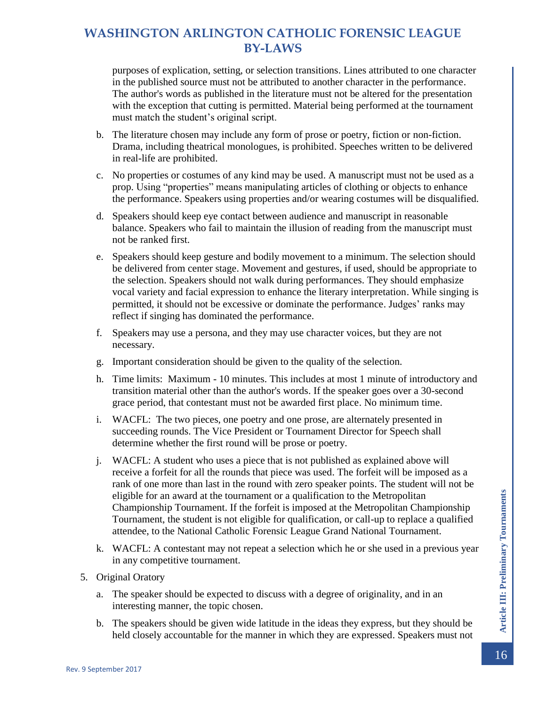purposes of explication, setting, or selection transitions. Lines attributed to one character in the published source must not be attributed to another character in the performance. The author's words as published in the literature must not be altered for the presentation with the exception that cutting is permitted. Material being performed at the tournament must match the student's original script.

- b. The literature chosen may include any form of prose or poetry, fiction or non-fiction. Drama, including theatrical monologues, is prohibited. Speeches written to be delivered in real-life are prohibited.
- c. No properties or costumes of any kind may be used. A manuscript must not be used as a prop. Using "properties" means manipulating articles of clothing or objects to enhance the performance. Speakers using properties and/or wearing costumes will be disqualified.
- d. Speakers should keep eye contact between audience and manuscript in reasonable balance. Speakers who fail to maintain the illusion of reading from the manuscript must not be ranked first.
- e. Speakers should keep gesture and bodily movement to a minimum. The selection should be delivered from center stage. Movement and gestures, if used, should be appropriate to the selection. Speakers should not walk during performances. They should emphasize vocal variety and facial expression to enhance the literary interpretation. While singing is permitted, it should not be excessive or dominate the performance. Judges' ranks may reflect if singing has dominated the performance.
- f. Speakers may use a persona, and they may use character voices, but they are not necessary.
- g. Important consideration should be given to the quality of the selection.
- h. Time limits: Maximum 10 minutes. This includes at most 1 minute of introductory and transition material other than the author's words. If the speaker goes over a 30-second grace period, that contestant must not be awarded first place. No minimum time.
- i. WACFL: The two pieces, one poetry and one prose, are alternately presented in succeeding rounds. The Vice President or Tournament Director for Speech shall determine whether the first round will be prose or poetry.
- j. WACFL: A student who uses a piece that is not published as explained above will receive a forfeit for all the rounds that piece was used. The forfeit will be imposed as a rank of one more than last in the round with zero speaker points. The student will not be eligible for an award at the tournament or a qualification to the Metropolitan Championship Tournament. If the forfeit is imposed at the Metropolitan Championship Tournament, the student is not eligible for qualification, or call-up to replace a qualified attendee, to the National Catholic Forensic League Grand National Tournament.
- k. WACFL: A contestant may not repeat a selection which he or she used in a previous year in any competitive tournament.
- 5. Original Oratory
	- a. The speaker should be expected to discuss with a degree of originality, and in an interesting manner, the topic chosen.
	- b. The speakers should be given wide latitude in the ideas they express, but they should be held closely accountable for the manner in which they are expressed. Speakers must not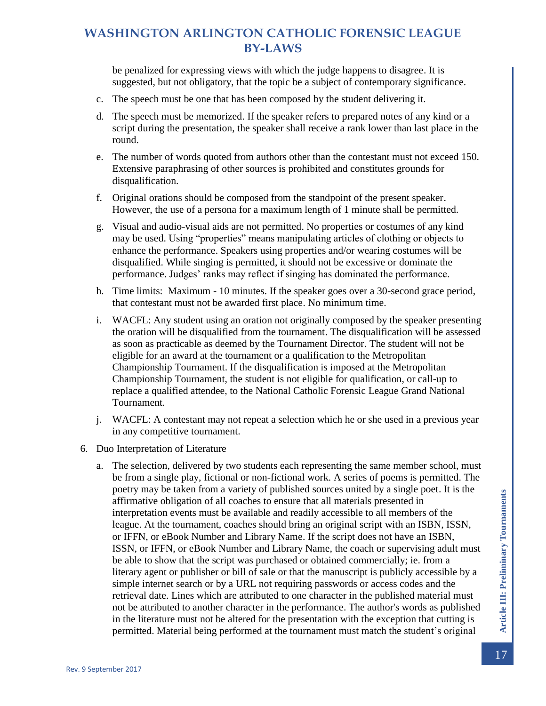be penalized for expressing views with which the judge happens to disagree. It is suggested, but not obligatory, that the topic be a subject of contemporary significance.

- c. The speech must be one that has been composed by the student delivering it.
- d. The speech must be memorized. If the speaker refers to prepared notes of any kind or a script during the presentation, the speaker shall receive a rank lower than last place in the round.
- e. The number of words quoted from authors other than the contestant must not exceed 150. Extensive paraphrasing of other sources is prohibited and constitutes grounds for disqualification.
- f. Original orations should be composed from the standpoint of the present speaker. However, the use of a persona for a maximum length of 1 minute shall be permitted.
- g. Visual and audio-visual aids are not permitted. No properties or costumes of any kind may be used. Using "properties" means manipulating articles of clothing or objects to enhance the performance. Speakers using properties and/or wearing costumes will be disqualified. While singing is permitted, it should not be excessive or dominate the performance. Judges' ranks may reflect if singing has dominated the performance.
- h. Time limits: Maximum 10 minutes. If the speaker goes over a 30-second grace period, that contestant must not be awarded first place. No minimum time.
- i. WACFL: Any student using an oration not originally composed by the speaker presenting the oration will be disqualified from the tournament. The disqualification will be assessed as soon as practicable as deemed by the Tournament Director. The student will not be eligible for an award at the tournament or a qualification to the Metropolitan Championship Tournament. If the disqualification is imposed at the Metropolitan Championship Tournament, the student is not eligible for qualification, or call-up to replace a qualified attendee, to the National Catholic Forensic League Grand National Tournament.
- j. WACFL: A contestant may not repeat a selection which he or she used in a previous year in any competitive tournament.
- 6. Duo Interpretation of Literature
	- a. The selection, delivered by two students each representing the same member school, must be from a single play, fictional or non-fictional work. A series of poems is permitted. The poetry may be taken from a variety of published sources united by a single poet. It is the affirmative obligation of all coaches to ensure that all materials presented in interpretation events must be available and readily accessible to all members of the league. At the tournament, coaches should bring an original script with an ISBN, ISSN, or IFFN, or eBook Number and Library Name. If the script does not have an ISBN, ISSN, or IFFN, or eBook Number and Library Name, the coach or supervising adult must be able to show that the script was purchased or obtained commercially; ie. from a literary agent or publisher or bill of sale or that the manuscript is publicly accessible by a simple internet search or by a URL not requiring passwords or access codes and the retrieval date. Lines which are attributed to one character in the published material must not be attributed to another character in the performance. The author's words as published in the literature must not be altered for the presentation with the exception that cutting is permitted. Material being performed at the tournament must match the student's original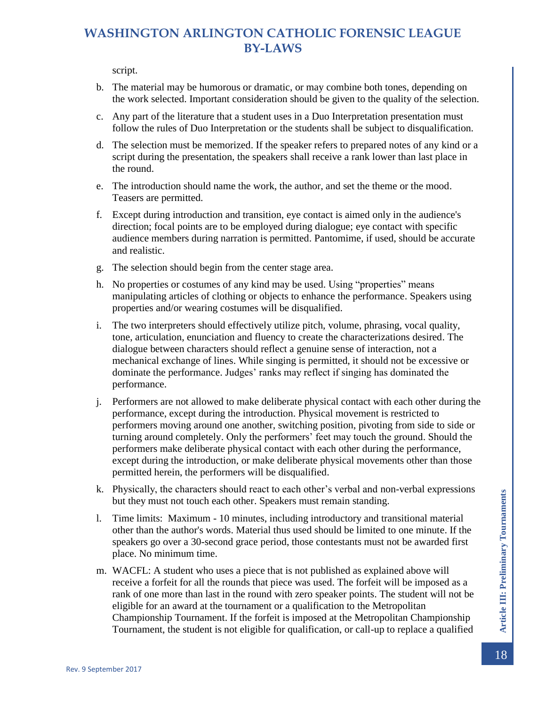script.

- b. The material may be humorous or dramatic, or may combine both tones, depending on the work selected. Important consideration should be given to the quality of the selection.
- c. Any part of the literature that a student uses in a Duo Interpretation presentation must follow the rules of Duo Interpretation or the students shall be subject to disqualification.
- d. The selection must be memorized. If the speaker refers to prepared notes of any kind or a script during the presentation, the speakers shall receive a rank lower than last place in the round.
- e. The introduction should name the work, the author, and set the theme or the mood. Teasers are permitted.
- f. Except during introduction and transition, eye contact is aimed only in the audience's direction; focal points are to be employed during dialogue; eye contact with specific audience members during narration is permitted. Pantomime, if used, should be accurate and realistic.
- g. The selection should begin from the center stage area.
- h. No properties or costumes of any kind may be used. Using "properties" means manipulating articles of clothing or objects to enhance the performance. Speakers using properties and/or wearing costumes will be disqualified.
- i. The two interpreters should effectively utilize pitch, volume, phrasing, vocal quality, tone, articulation, enunciation and fluency to create the characterizations desired. The dialogue between characters should reflect a genuine sense of interaction, not a mechanical exchange of lines. While singing is permitted, it should not be excessive or dominate the performance. Judges' ranks may reflect if singing has dominated the performance.
- j. Performers are not allowed to make deliberate physical contact with each other during the performance, except during the introduction. Physical movement is restricted to performers moving around one another, switching position, pivoting from side to side or turning around completely. Only the performers' feet may touch the ground. Should the performers make deliberate physical contact with each other during the performance, except during the introduction, or make deliberate physical movements other than those permitted herein, the performers will be disqualified.
- k. Physically, the characters should react to each other's verbal and non-verbal expressions but they must not touch each other. Speakers must remain standing.
- l. Time limits: Maximum 10 minutes, including introductory and transitional material other than the author's words. Material thus used should be limited to one minute. If the speakers go over a 30-second grace period, those contestants must not be awarded first place. No minimum time.
- m. WACFL: A student who uses a piece that is not published as explained above will receive a forfeit for all the rounds that piece was used. The forfeit will be imposed as a rank of one more than last in the round with zero speaker points. The student will not be eligible for an award at the tournament or a qualification to the Metropolitan Championship Tournament. If the forfeit is imposed at the Metropolitan Championship Tournament, the student is not eligible for qualification, or call-up to replace a qualified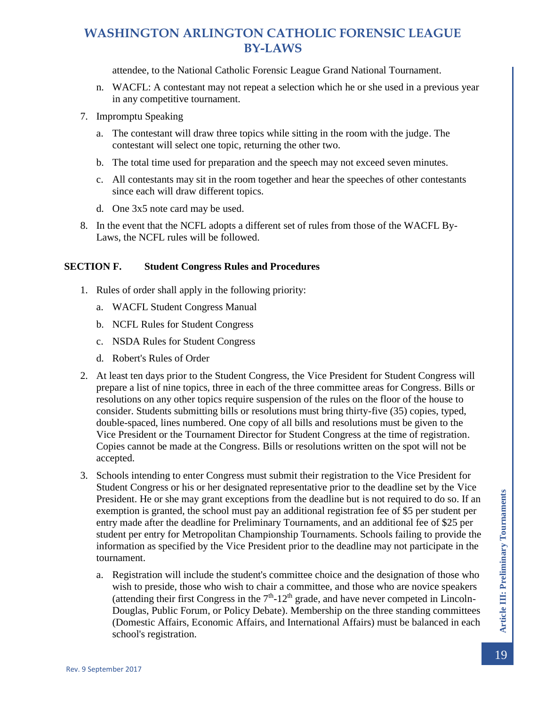attendee, to the National Catholic Forensic League Grand National Tournament.

- n. WACFL: A contestant may not repeat a selection which he or she used in a previous year in any competitive tournament.
- 7. Impromptu Speaking
	- a. The contestant will draw three topics while sitting in the room with the judge. The contestant will select one topic, returning the other two.
	- b. The total time used for preparation and the speech may not exceed seven minutes.
	- c. All contestants may sit in the room together and hear the speeches of other contestants since each will draw different topics.
	- d. One 3x5 note card may be used.
- 8. In the event that the NCFL adopts a different set of rules from those of the WACFL By-Laws, the NCFL rules will be followed.

#### <span id="page-19-0"></span>**SECTION F. Student Congress Rules and Procedures**

- 1. Rules of order shall apply in the following priority:
	- a. WACFL Student Congress Manual
	- b. NCFL Rules for Student Congress
	- c. NSDA Rules for Student Congress
	- d. Robert's Rules of Order
- 2. At least ten days prior to the Student Congress, the Vice President for Student Congress will prepare a list of nine topics, three in each of the three committee areas for Congress. Bills or resolutions on any other topics require suspension of the rules on the floor of the house to consider. Students submitting bills or resolutions must bring thirty-five (35) copies, typed, double-spaced, lines numbered. One copy of all bills and resolutions must be given to the Vice President or the Tournament Director for Student Congress at the time of registration. Copies cannot be made at the Congress. Bills or resolutions written on the spot will not be accepted.
- 3. Schools intending to enter Congress must submit their registration to the Vice President for Student Congress or his or her designated representative prior to the deadline set by the Vice President. He or she may grant exceptions from the deadline but is not required to do so. If an exemption is granted, the school must pay an additional registration fee of \$5 per student per entry made after the deadline for Preliminary Tournaments, and an additional fee of \$25 per student per entry for Metropolitan Championship Tournaments. Schools failing to provide the information as specified by the Vice President prior to the deadline may not participate in the tournament.
	- a. Registration will include the student's committee choice and the designation of those who wish to preside, those who wish to chair a committee, and those who are novice speakers (attending their first Congress in the  $7<sup>th</sup>$ -12<sup>th</sup> grade, and have never competed in Lincoln-Douglas, Public Forum, or Policy Debate). Membership on the three standing committees (Domestic Affairs, Economic Affairs, and International Affairs) must be balanced in each school's registration.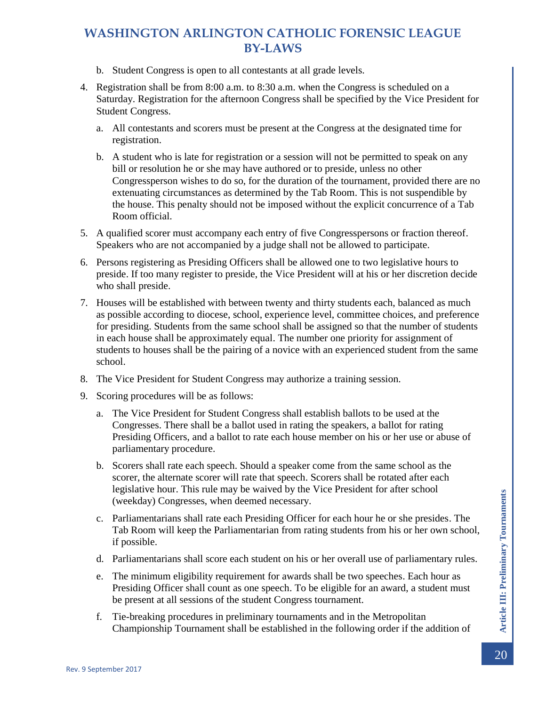- b. Student Congress is open to all contestants at all grade levels.
- 4. Registration shall be from 8:00 a.m. to 8:30 a.m. when the Congress is scheduled on a Saturday. Registration for the afternoon Congress shall be specified by the Vice President for Student Congress.
	- a. All contestants and scorers must be present at the Congress at the designated time for registration.
	- b. A student who is late for registration or a session will not be permitted to speak on any bill or resolution he or she may have authored or to preside, unless no other Congressperson wishes to do so, for the duration of the tournament, provided there are no extenuating circumstances as determined by the Tab Room. This is not suspendible by the house. This penalty should not be imposed without the explicit concurrence of a Tab Room official.
- 5. A qualified scorer must accompany each entry of five Congresspersons or fraction thereof. Speakers who are not accompanied by a judge shall not be allowed to participate.
- 6. Persons registering as Presiding Officers shall be allowed one to two legislative hours to preside. If too many register to preside, the Vice President will at his or her discretion decide who shall preside.
- 7. Houses will be established with between twenty and thirty students each, balanced as much as possible according to diocese, school, experience level, committee choices, and preference for presiding. Students from the same school shall be assigned so that the number of students in each house shall be approximately equal. The number one priority for assignment of students to houses shall be the pairing of a novice with an experienced student from the same school.
- 8. The Vice President for Student Congress may authorize a training session.
- 9. Scoring procedures will be as follows:
	- a. The Vice President for Student Congress shall establish ballots to be used at the Congresses. There shall be a ballot used in rating the speakers, a ballot for rating Presiding Officers, and a ballot to rate each house member on his or her use or abuse of parliamentary procedure.
	- b. Scorers shall rate each speech. Should a speaker come from the same school as the scorer, the alternate scorer will rate that speech. Scorers shall be rotated after each legislative hour. This rule may be waived by the Vice President for after school (weekday) Congresses, when deemed necessary.
	- c. Parliamentarians shall rate each Presiding Officer for each hour he or she presides. The Tab Room will keep the Parliamentarian from rating students from his or her own school, if possible.
	- d. Parliamentarians shall score each student on his or her overall use of parliamentary rules.
	- e. The minimum eligibility requirement for awards shall be two speeches. Each hour as Presiding Officer shall count as one speech. To be eligible for an award, a student must be present at all sessions of the student Congress tournament.
	- f. Tie-breaking procedures in preliminary tournaments and in the Metropolitan Championship Tournament shall be established in the following order if the addition of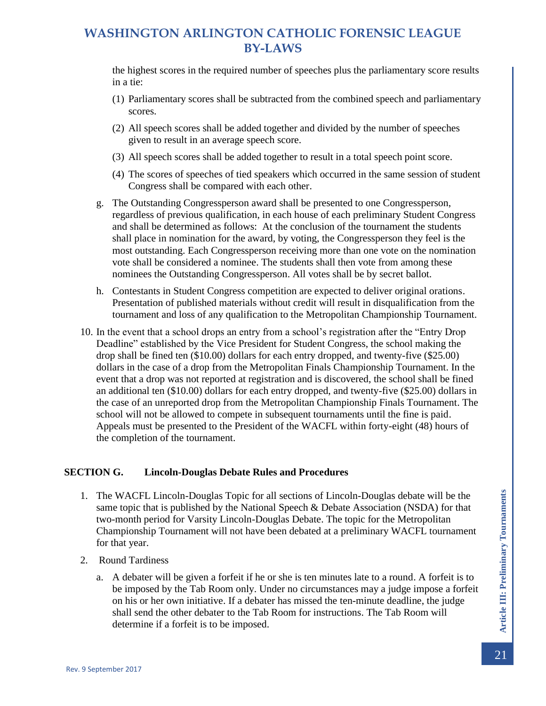the highest scores in the required number of speeches plus the parliamentary score results in a tie:

- (1) Parliamentary scores shall be subtracted from the combined speech and parliamentary scores.
- (2) All speech scores shall be added together and divided by the number of speeches given to result in an average speech score.
- (3) All speech scores shall be added together to result in a total speech point score.
- (4) The scores of speeches of tied speakers which occurred in the same session of student Congress shall be compared with each other.
- g. The Outstanding Congressperson award shall be presented to one Congressperson, regardless of previous qualification, in each house of each preliminary Student Congress and shall be determined as follows: At the conclusion of the tournament the students shall place in nomination for the award, by voting, the Congressperson they feel is the most outstanding. Each Congressperson receiving more than one vote on the nomination vote shall be considered a nominee. The students shall then vote from among these nominees the Outstanding Congressperson. All votes shall be by secret ballot.
- h. Contestants in Student Congress competition are expected to deliver original orations. Presentation of published materials without credit will result in disqualification from the tournament and loss of any qualification to the Metropolitan Championship Tournament.
- 10. In the event that a school drops an entry from a school's registration after the "Entry Drop Deadline" established by the Vice President for Student Congress, the school making the drop shall be fined ten (\$10.00) dollars for each entry dropped, and twenty-five (\$25.00) dollars in the case of a drop from the Metropolitan Finals Championship Tournament. In the event that a drop was not reported at registration and is discovered, the school shall be fined an additional ten (\$10.00) dollars for each entry dropped, and twenty-five (\$25.00) dollars in the case of an unreported drop from the Metropolitan Championship Finals Tournament. The school will not be allowed to compete in subsequent tournaments until the fine is paid. Appeals must be presented to the President of the WACFL within forty-eight (48) hours of the completion of the tournament.

#### <span id="page-21-0"></span>**SECTION G. Lincoln-Douglas Debate Rules and Procedures**

- 1. The WACFL Lincoln-Douglas Topic for all sections of Lincoln-Douglas debate will be the same topic that is published by the National Speech & Debate Association (NSDA) for that two-month period for Varsity Lincoln-Douglas Debate. The topic for the Metropolitan Championship Tournament will not have been debated at a preliminary WACFL tournament for that year.
- 2. Round Tardiness
	- a. A debater will be given a forfeit if he or she is ten minutes late to a round. A forfeit is to be imposed by the Tab Room only. Under no circumstances may a judge impose a forfeit on his or her own initiative. If a debater has missed the ten-minute deadline, the judge shall send the other debater to the Tab Room for instructions. The Tab Room will determine if a forfeit is to be imposed.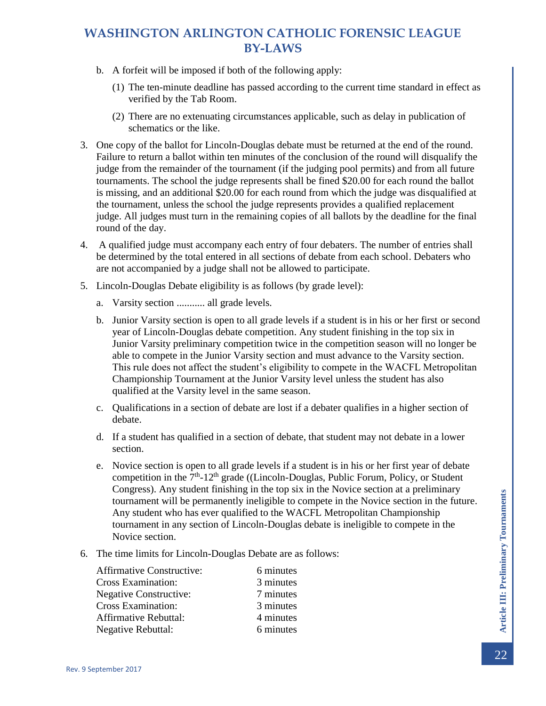- b. A forfeit will be imposed if both of the following apply:
	- (1) The ten-minute deadline has passed according to the current time standard in effect as verified by the Tab Room.
	- (2) There are no extenuating circumstances applicable, such as delay in publication of schematics or the like.
- 3. One copy of the ballot for Lincoln-Douglas debate must be returned at the end of the round. Failure to return a ballot within ten minutes of the conclusion of the round will disqualify the judge from the remainder of the tournament (if the judging pool permits) and from all future tournaments. The school the judge represents shall be fined \$20.00 for each round the ballot is missing, and an additional \$20.00 for each round from which the judge was disqualified at the tournament, unless the school the judge represents provides a qualified replacement judge. All judges must turn in the remaining copies of all ballots by the deadline for the final round of the day.
- 4. A qualified judge must accompany each entry of four debaters. The number of entries shall be determined by the total entered in all sections of debate from each school. Debaters who are not accompanied by a judge shall not be allowed to participate.
- 5. Lincoln-Douglas Debate eligibility is as follows (by grade level):
	- a. Varsity section ........... all grade levels.
	- b. Junior Varsity section is open to all grade levels if a student is in his or her first or second year of Lincoln-Douglas debate competition. Any student finishing in the top six in Junior Varsity preliminary competition twice in the competition season will no longer be able to compete in the Junior Varsity section and must advance to the Varsity section. This rule does not affect the student's eligibility to compete in the WACFL Metropolitan Championship Tournament at the Junior Varsity level unless the student has also qualified at the Varsity level in the same season.
	- c. Qualifications in a section of debate are lost if a debater qualifies in a higher section of debate.
	- d. If a student has qualified in a section of debate, that student may not debate in a lower section.
	- e. Novice section is open to all grade levels if a student is in his or her first year of debate competition in the  $7<sup>th</sup> - 12<sup>th</sup>$  grade ((Lincoln-Douglas, Public Forum, Policy, or Student Congress). Any student finishing in the top six in the Novice section at a preliminary tournament will be permanently ineligible to compete in the Novice section in the future. Any student who has ever qualified to the WACFL Metropolitan Championship tournament in any section of Lincoln-Douglas debate is ineligible to compete in the Novice section.
- 6. The time limits for Lincoln-Douglas Debate are as follows:

| 6 minutes |
|-----------|
| 3 minutes |
| 7 minutes |
| 3 minutes |
| 4 minutes |
| 6 minutes |
|           |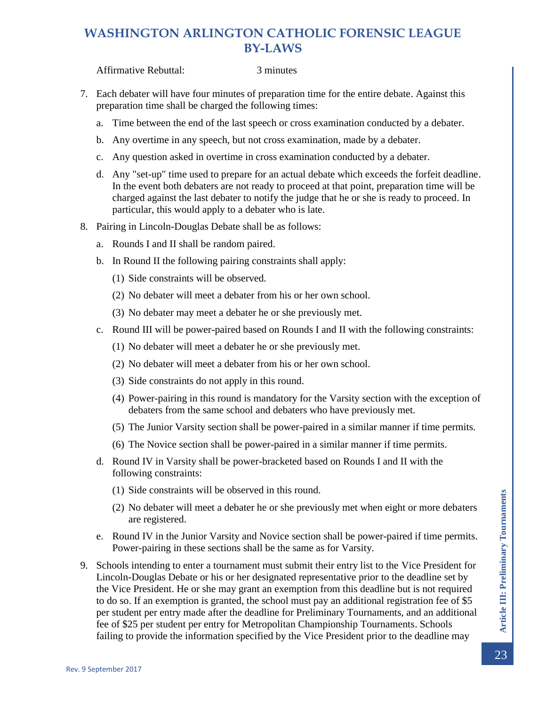Affirmative Rebuttal: 3 minutes

- 7. Each debater will have four minutes of preparation time for the entire debate. Against this preparation time shall be charged the following times:
	- a. Time between the end of the last speech or cross examination conducted by a debater.
	- b. Any overtime in any speech, but not cross examination, made by a debater.
	- c. Any question asked in overtime in cross examination conducted by a debater.
	- d. Any "set-up" time used to prepare for an actual debate which exceeds the forfeit deadline. In the event both debaters are not ready to proceed at that point, preparation time will be charged against the last debater to notify the judge that he or she is ready to proceed. In particular, this would apply to a debater who is late.
- 8. Pairing in Lincoln-Douglas Debate shall be as follows:
	- a. Rounds I and II shall be random paired.
	- b. In Round II the following pairing constraints shall apply:
		- (1) Side constraints will be observed.
		- (2) No debater will meet a debater from his or her own school.
		- (3) No debater may meet a debater he or she previously met.
	- c. Round III will be power-paired based on Rounds I and II with the following constraints:
		- (1) No debater will meet a debater he or she previously met.
		- (2) No debater will meet a debater from his or her own school.
		- (3) Side constraints do not apply in this round.
		- (4) Power-pairing in this round is mandatory for the Varsity section with the exception of debaters from the same school and debaters who have previously met.
		- (5) The Junior Varsity section shall be power-paired in a similar manner if time permits.
		- (6) The Novice section shall be power-paired in a similar manner if time permits.
	- d. Round IV in Varsity shall be power-bracketed based on Rounds I and II with the following constraints:
		- (1) Side constraints will be observed in this round.
		- (2) No debater will meet a debater he or she previously met when eight or more debaters are registered.
	- e. Round IV in the Junior Varsity and Novice section shall be power-paired if time permits. Power-pairing in these sections shall be the same as for Varsity.
- 9. Schools intending to enter a tournament must submit their entry list to the Vice President for Lincoln-Douglas Debate or his or her designated representative prior to the deadline set by the Vice President. He or she may grant an exemption from this deadline but is not required to do so. If an exemption is granted, the school must pay an additional registration fee of \$5 per student per entry made after the deadline for Preliminary Tournaments, and an additional fee of \$25 per student per entry for Metropolitan Championship Tournaments. Schools failing to provide the information specified by the Vice President prior to the deadline may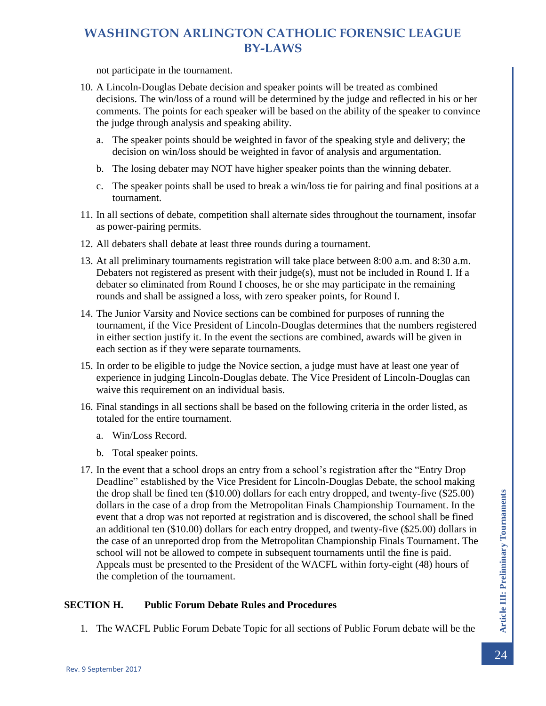not participate in the tournament.

- 10. A Lincoln-Douglas Debate decision and speaker points will be treated as combined decisions. The win/loss of a round will be determined by the judge and reflected in his or her comments. The points for each speaker will be based on the ability of the speaker to convince the judge through analysis and speaking ability.
	- a. The speaker points should be weighted in favor of the speaking style and delivery; the decision on win/loss should be weighted in favor of analysis and argumentation.
	- b. The losing debater may NOT have higher speaker points than the winning debater.
	- c. The speaker points shall be used to break a win/loss tie for pairing and final positions at a tournament.
- 11. In all sections of debate, competition shall alternate sides throughout the tournament, insofar as power-pairing permits.
- 12. All debaters shall debate at least three rounds during a tournament.
- 13. At all preliminary tournaments registration will take place between 8:00 a.m. and 8:30 a.m. Debaters not registered as present with their judge(s), must not be included in Round I. If a debater so eliminated from Round I chooses, he or she may participate in the remaining rounds and shall be assigned a loss, with zero speaker points, for Round I.
- 14. The Junior Varsity and Novice sections can be combined for purposes of running the tournament, if the Vice President of Lincoln-Douglas determines that the numbers registered in either section justify it. In the event the sections are combined, awards will be given in each section as if they were separate tournaments.
- 15. In order to be eligible to judge the Novice section, a judge must have at least one year of experience in judging Lincoln-Douglas debate. The Vice President of Lincoln-Douglas can waive this requirement on an individual basis.
- 16. Final standings in all sections shall be based on the following criteria in the order listed, as totaled for the entire tournament.
	- a. Win/Loss Record.
	- b. Total speaker points.
- 17. In the event that a school drops an entry from a school's registration after the "Entry Drop Deadline" established by the Vice President for Lincoln-Douglas Debate, the school making the drop shall be fined ten (\$10.00) dollars for each entry dropped, and twenty-five (\$25.00) dollars in the case of a drop from the Metropolitan Finals Championship Tournament. In the event that a drop was not reported at registration and is discovered, the school shall be fined an additional ten (\$10.00) dollars for each entry dropped, and twenty-five (\$25.00) dollars in the case of an unreported drop from the Metropolitan Championship Finals Tournament. The school will not be allowed to compete in subsequent tournaments until the fine is paid. Appeals must be presented to the President of the WACFL within forty-eight (48) hours of the completion of the tournament.

#### <span id="page-24-0"></span>**SECTION H. Public Forum Debate Rules and Procedures**

1. The WACFL Public Forum Debate Topic for all sections of Public Forum debate will be the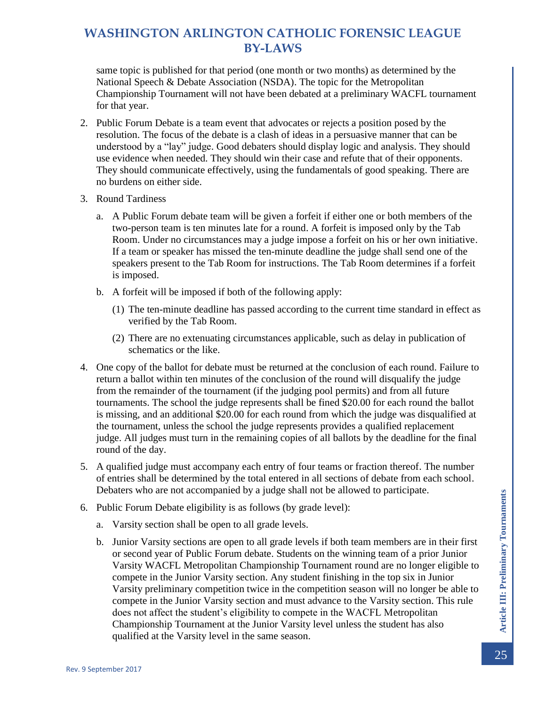same topic is published for that period (one month or two months) as determined by the National Speech & Debate Association (NSDA). The topic for the Metropolitan Championship Tournament will not have been debated at a preliminary WACFL tournament for that year.

- 2. Public Forum Debate is a team event that advocates or rejects a position posed by the resolution. The focus of the debate is a clash of ideas in a persuasive manner that can be understood by a "lay" judge. Good debaters should display logic and analysis. They should use evidence when needed. They should win their case and refute that of their opponents. They should communicate effectively, using the fundamentals of good speaking. There are no burdens on either side.
- 3. Round Tardiness
	- a. A Public Forum debate team will be given a forfeit if either one or both members of the two-person team is ten minutes late for a round. A forfeit is imposed only by the Tab Room. Under no circumstances may a judge impose a forfeit on his or her own initiative. If a team or speaker has missed the ten-minute deadline the judge shall send one of the speakers present to the Tab Room for instructions. The Tab Room determines if a forfeit is imposed.
	- b. A forfeit will be imposed if both of the following apply:
		- (1) The ten-minute deadline has passed according to the current time standard in effect as verified by the Tab Room.
		- (2) There are no extenuating circumstances applicable, such as delay in publication of schematics or the like.
- 4. One copy of the ballot for debate must be returned at the conclusion of each round. Failure to return a ballot within ten minutes of the conclusion of the round will disqualify the judge from the remainder of the tournament (if the judging pool permits) and from all future tournaments. The school the judge represents shall be fined \$20.00 for each round the ballot is missing, and an additional \$20.00 for each round from which the judge was disqualified at the tournament, unless the school the judge represents provides a qualified replacement judge. All judges must turn in the remaining copies of all ballots by the deadline for the final round of the day.
- 5. A qualified judge must accompany each entry of four teams or fraction thereof. The number of entries shall be determined by the total entered in all sections of debate from each school. Debaters who are not accompanied by a judge shall not be allowed to participate.
- 6. Public Forum Debate eligibility is as follows (by grade level):
	- a. Varsity section shall be open to all grade levels.
	- b. Junior Varsity sections are open to all grade levels if both team members are in their first or second year of Public Forum debate. Students on the winning team of a prior Junior Varsity WACFL Metropolitan Championship Tournament round are no longer eligible to compete in the Junior Varsity section. Any student finishing in the top six in Junior Varsity preliminary competition twice in the competition season will no longer be able to compete in the Junior Varsity section and must advance to the Varsity section. This rule does not affect the student's eligibility to compete in the WACFL Metropolitan Championship Tournament at the Junior Varsity level unless the student has also qualified at the Varsity level in the same season.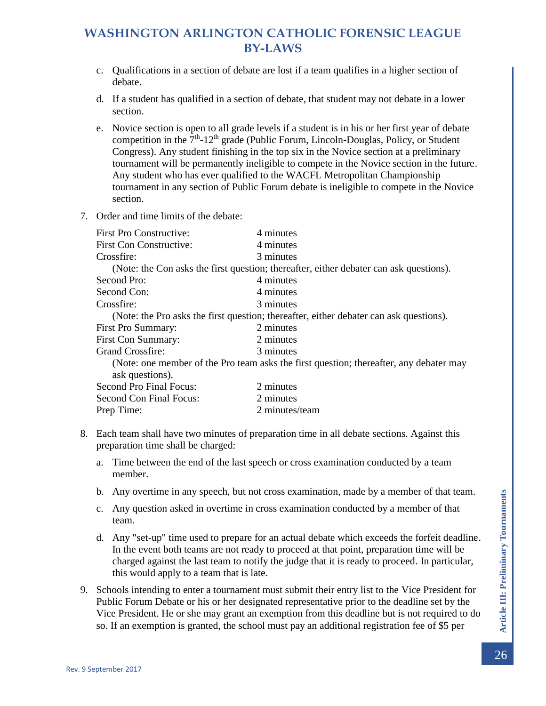- c. Qualifications in a section of debate are lost if a team qualifies in a higher section of debate.
- d. If a student has qualified in a section of debate, that student may not debate in a lower section.
- e. Novice section is open to all grade levels if a student is in his or her first year of debate competition in the  $7<sup>th</sup>$ -12<sup>th</sup> grade (Public Forum, Lincoln-Douglas, Policy, or Student Congress). Any student finishing in the top six in the Novice section at a preliminary tournament will be permanently ineligible to compete in the Novice section in the future. Any student who has ever qualified to the WACFL Metropolitan Championship tournament in any section of Public Forum debate is ineligible to compete in the Novice section.
- 7. Order and time limits of the debate:

| 4 minutes                                                                              |
|----------------------------------------------------------------------------------------|
| 4 minutes                                                                              |
| 3 minutes                                                                              |
| (Note: the Con asks the first question; thereafter, either debater can ask questions). |
| 4 minutes                                                                              |
| 4 minutes                                                                              |
| 3 minutes                                                                              |
| (Note: the Pro asks the first question; thereafter, either debater can ask questions). |
| 2 minutes                                                                              |
| 2 minutes                                                                              |
| 3 minutes                                                                              |
| (Note: one member of the Pro team asks the first question; thereafter, any debater may |
| 2 minutes                                                                              |
| 2 minutes                                                                              |
| 2 minutes/team                                                                         |
|                                                                                        |

- 8. Each team shall have two minutes of preparation time in all debate sections. Against this preparation time shall be charged:
	- a. Time between the end of the last speech or cross examination conducted by a team member.
	- b. Any overtime in any speech, but not cross examination, made by a member of that team.
	- c. Any question asked in overtime in cross examination conducted by a member of that team.
	- d. Any "set-up" time used to prepare for an actual debate which exceeds the forfeit deadline. In the event both teams are not ready to proceed at that point, preparation time will be charged against the last team to notify the judge that it is ready to proceed. In particular, this would apply to a team that is late.
- 9. Schools intending to enter a tournament must submit their entry list to the Vice President for Public Forum Debate or his or her designated representative prior to the deadline set by the Vice President. He or she may grant an exemption from this deadline but is not required to do so. If an exemption is granted, the school must pay an additional registration fee of \$5 per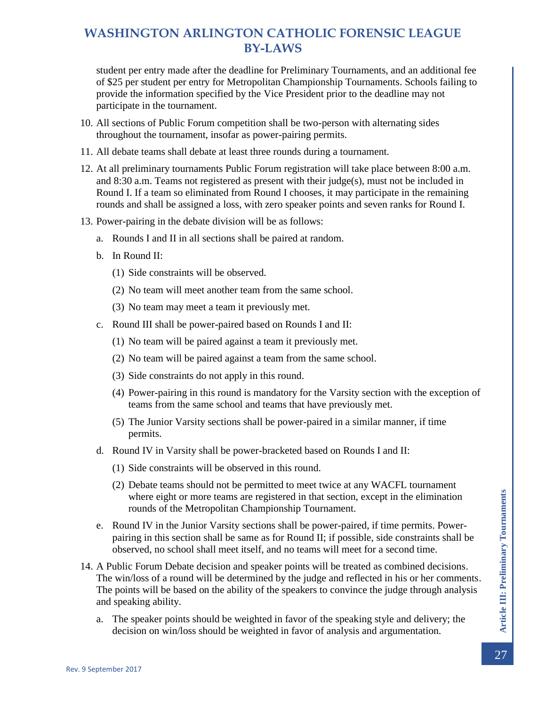student per entry made after the deadline for Preliminary Tournaments, and an additional fee of \$25 per student per entry for Metropolitan Championship Tournaments. Schools failing to provide the information specified by the Vice President prior to the deadline may not participate in the tournament.

- 10. All sections of Public Forum competition shall be two-person with alternating sides throughout the tournament, insofar as power-pairing permits.
- 11. All debate teams shall debate at least three rounds during a tournament.
- 12. At all preliminary tournaments Public Forum registration will take place between 8:00 a.m. and 8:30 a.m. Teams not registered as present with their judge(s), must not be included in Round I. If a team so eliminated from Round I chooses, it may participate in the remaining rounds and shall be assigned a loss, with zero speaker points and seven ranks for Round I.
- 13. Power-pairing in the debate division will be as follows:
	- a. Rounds I and II in all sections shall be paired at random.
	- b. In Round II:
		- (1) Side constraints will be observed.
		- (2) No team will meet another team from the same school.
		- (3) No team may meet a team it previously met.
	- c. Round III shall be power-paired based on Rounds I and II:
		- (1) No team will be paired against a team it previously met.
		- (2) No team will be paired against a team from the same school.
		- (3) Side constraints do not apply in this round.
		- (4) Power-pairing in this round is mandatory for the Varsity section with the exception of teams from the same school and teams that have previously met.
		- (5) The Junior Varsity sections shall be power-paired in a similar manner, if time permits.
	- d. Round IV in Varsity shall be power-bracketed based on Rounds I and II:
		- (1) Side constraints will be observed in this round.
		- (2) Debate teams should not be permitted to meet twice at any WACFL tournament where eight or more teams are registered in that section, except in the elimination rounds of the Metropolitan Championship Tournament.
	- e. Round IV in the Junior Varsity sections shall be power-paired, if time permits. Powerpairing in this section shall be same as for Round II; if possible, side constraints shall be observed, no school shall meet itself, and no teams will meet for a second time.
- 14. A Public Forum Debate decision and speaker points will be treated as combined decisions. The win/loss of a round will be determined by the judge and reflected in his or her comments. The points will be based on the ability of the speakers to convince the judge through analysis and speaking ability.
	- a. The speaker points should be weighted in favor of the speaking style and delivery; the decision on win/loss should be weighted in favor of analysis and argumentation.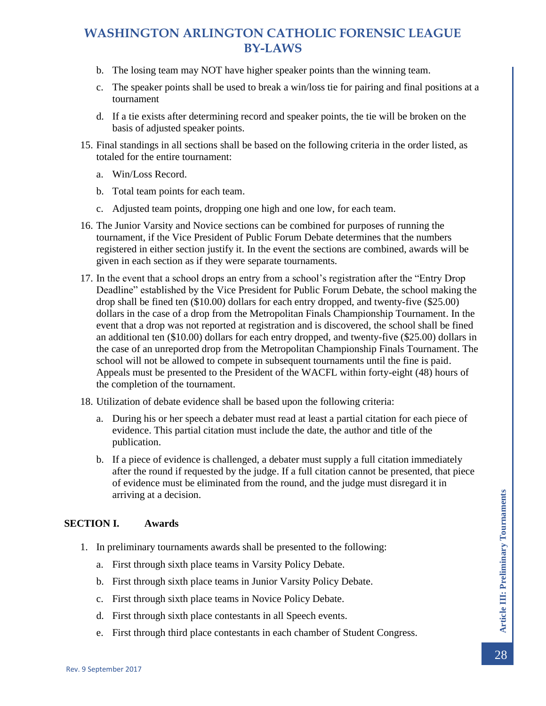- b. The losing team may NOT have higher speaker points than the winning team.
- c. The speaker points shall be used to break a win/loss tie for pairing and final positions at a tournament
- d. If a tie exists after determining record and speaker points, the tie will be broken on the basis of adjusted speaker points.
- 15. Final standings in all sections shall be based on the following criteria in the order listed, as totaled for the entire tournament:
	- a. Win/Loss Record.
	- b. Total team points for each team.
	- c. Adjusted team points, dropping one high and one low, for each team.
- 16. The Junior Varsity and Novice sections can be combined for purposes of running the tournament, if the Vice President of Public Forum Debate determines that the numbers registered in either section justify it. In the event the sections are combined, awards will be given in each section as if they were separate tournaments.
- 17. In the event that a school drops an entry from a school's registration after the "Entry Drop Deadline" established by the Vice President for Public Forum Debate, the school making the drop shall be fined ten (\$10.00) dollars for each entry dropped, and twenty-five (\$25.00) dollars in the case of a drop from the Metropolitan Finals Championship Tournament. In the event that a drop was not reported at registration and is discovered, the school shall be fined an additional ten (\$10.00) dollars for each entry dropped, and twenty-five (\$25.00) dollars in the case of an unreported drop from the Metropolitan Championship Finals Tournament. The school will not be allowed to compete in subsequent tournaments until the fine is paid. Appeals must be presented to the President of the WACFL within forty-eight (48) hours of the completion of the tournament.
- 18. Utilization of debate evidence shall be based upon the following criteria:
	- a. During his or her speech a debater must read at least a partial citation for each piece of evidence. This partial citation must include the date, the author and title of the publication.
	- b. If a piece of evidence is challenged, a debater must supply a full citation immediately after the round if requested by the judge. If a full citation cannot be presented, that piece of evidence must be eliminated from the round, and the judge must disregard it in arriving at a decision.

#### <span id="page-28-0"></span>**SECTION I. Awards**

- 1. In preliminary tournaments awards shall be presented to the following:
	- a. First through sixth place teams in Varsity Policy Debate.
	- b. First through sixth place teams in Junior Varsity Policy Debate.
	- c. First through sixth place teams in Novice Policy Debate.
	- d. First through sixth place contestants in all Speech events.
	- e. First through third place contestants in each chamber of Student Congress.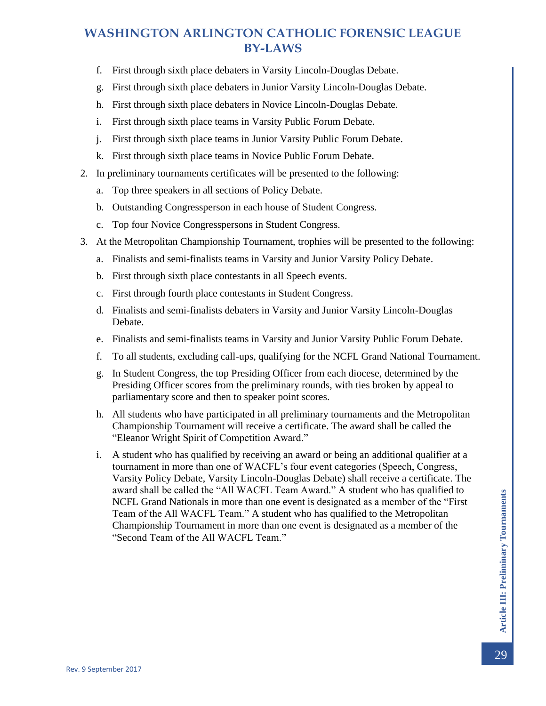- f. First through sixth place debaters in Varsity Lincoln-Douglas Debate.
- g. First through sixth place debaters in Junior Varsity Lincoln-Douglas Debate.
- h. First through sixth place debaters in Novice Lincoln-Douglas Debate.
- i. First through sixth place teams in Varsity Public Forum Debate.
- j. First through sixth place teams in Junior Varsity Public Forum Debate.
- k. First through sixth place teams in Novice Public Forum Debate.
- 2. In preliminary tournaments certificates will be presented to the following:
	- a. Top three speakers in all sections of Policy Debate.
	- b. Outstanding Congressperson in each house of Student Congress.
	- c. Top four Novice Congresspersons in Student Congress.
- 3. At the Metropolitan Championship Tournament, trophies will be presented to the following:
	- a. Finalists and semi-finalists teams in Varsity and Junior Varsity Policy Debate.
	- b. First through sixth place contestants in all Speech events.
	- c. First through fourth place contestants in Student Congress.
	- d. Finalists and semi-finalists debaters in Varsity and Junior Varsity Lincoln-Douglas Debate.
	- e. Finalists and semi-finalists teams in Varsity and Junior Varsity Public Forum Debate.
	- f. To all students, excluding call-ups, qualifying for the NCFL Grand National Tournament.
	- g. In Student Congress, the top Presiding Officer from each diocese, determined by the Presiding Officer scores from the preliminary rounds, with ties broken by appeal to parliamentary score and then to speaker point scores.
	- h. All students who have participated in all preliminary tournaments and the Metropolitan Championship Tournament will receive a certificate. The award shall be called the "Eleanor Wright Spirit of Competition Award."
	- i. A student who has qualified by receiving an award or being an additional qualifier at a tournament in more than one of WACFL's four event categories (Speech, Congress, Varsity Policy Debate, Varsity Lincoln-Douglas Debate) shall receive a certificate. The award shall be called the "All WACFL Team Award." A student who has qualified to NCFL Grand Nationals in more than one event is designated as a member of the "First Team of the All WACFL Team." A student who has qualified to the Metropolitan Championship Tournament in more than one event is designated as a member of the "Second Team of the All WACFL Team."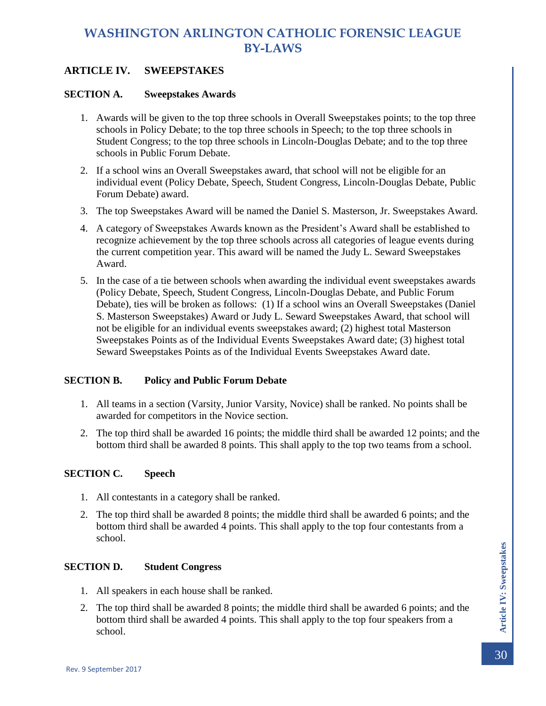### <span id="page-30-0"></span>**ARTICLE IV. SWEEPSTAKES**

#### <span id="page-30-1"></span>**SECTION A. Sweepstakes Awards**

- 1. Awards will be given to the top three schools in Overall Sweepstakes points; to the top three schools in Policy Debate; to the top three schools in Speech; to the top three schools in Student Congress; to the top three schools in Lincoln-Douglas Debate; and to the top three schools in Public Forum Debate.
- 2. If a school wins an Overall Sweepstakes award, that school will not be eligible for an individual event (Policy Debate, Speech, Student Congress, Lincoln-Douglas Debate, Public Forum Debate) award.
- 3. The top Sweepstakes Award will be named the Daniel S. Masterson, Jr. Sweepstakes Award.
- 4. A category of Sweepstakes Awards known as the President's Award shall be established to recognize achievement by the top three schools across all categories of league events during the current competition year. This award will be named the Judy L. Seward Sweepstakes Award.
- 5. In the case of a tie between schools when awarding the individual event sweepstakes awards (Policy Debate, Speech, Student Congress, Lincoln-Douglas Debate, and Public Forum Debate), ties will be broken as follows: (1) If a school wins an Overall Sweepstakes (Daniel S. Masterson Sweepstakes) Award or Judy L. Seward Sweepstakes Award, that school will not be eligible for an individual events sweepstakes award; (2) highest total Masterson Sweepstakes Points as of the Individual Events Sweepstakes Award date; (3) highest total Seward Sweepstakes Points as of the Individual Events Sweepstakes Award date.

#### <span id="page-30-2"></span>**SECTION B. Policy and Public Forum Debate**

- 1. All teams in a section (Varsity, Junior Varsity, Novice) shall be ranked. No points shall be awarded for competitors in the Novice section.
- 2. The top third shall be awarded 16 points; the middle third shall be awarded 12 points; and the bottom third shall be awarded 8 points. This shall apply to the top two teams from a school.

#### <span id="page-30-3"></span>**SECTION C. Speech**

- 1. All contestants in a category shall be ranked.
- 2. The top third shall be awarded 8 points; the middle third shall be awarded 6 points; and the bottom third shall be awarded 4 points. This shall apply to the top four contestants from a school.

#### <span id="page-30-4"></span>**SECTION D. Student Congress**

- 1. All speakers in each house shall be ranked.
- 2. The top third shall be awarded 8 points; the middle third shall be awarded 6 points; and the bottom third shall be awarded 4 points. This shall apply to the top four speakers from a school.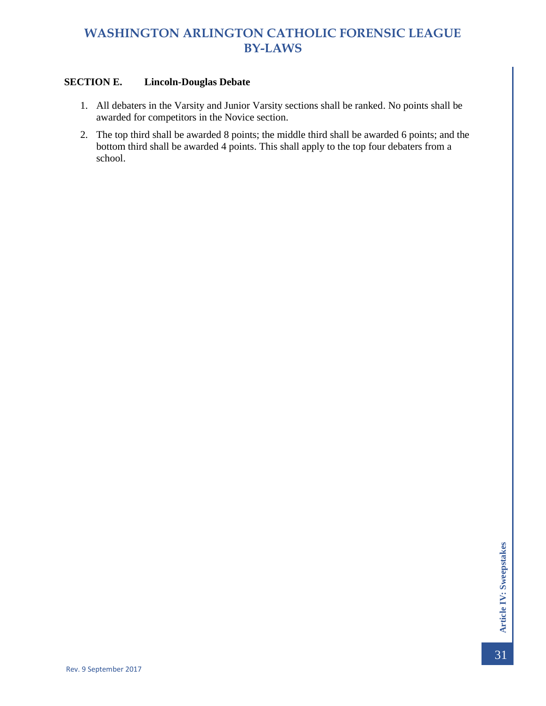### <span id="page-31-0"></span>**SECTION E. Lincoln-Douglas Debate**

- 1. All debaters in the Varsity and Junior Varsity sections shall be ranked. No points shall be awarded for competitors in the Novice section.
- 2. The top third shall be awarded 8 points; the middle third shall be awarded 6 points; and the bottom third shall be awarded 4 points. This shall apply to the top four debaters from a school.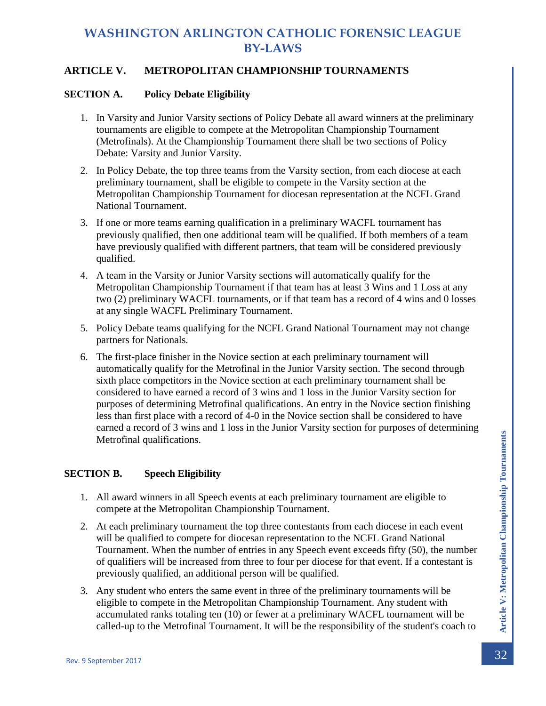### <span id="page-32-0"></span>**ARTICLE V. METROPOLITAN CHAMPIONSHIP TOURNAMENTS**

#### <span id="page-32-1"></span>**SECTION A. Policy Debate Eligibility**

- 1. In Varsity and Junior Varsity sections of Policy Debate all award winners at the preliminary tournaments are eligible to compete at the Metropolitan Championship Tournament (Metrofinals). At the Championship Tournament there shall be two sections of Policy Debate: Varsity and Junior Varsity.
- 2. In Policy Debate, the top three teams from the Varsity section, from each diocese at each preliminary tournament, shall be eligible to compete in the Varsity section at the Metropolitan Championship Tournament for diocesan representation at the NCFL Grand National Tournament.
- 3. If one or more teams earning qualification in a preliminary WACFL tournament has previously qualified, then one additional team will be qualified. If both members of a team have previously qualified with different partners, that team will be considered previously qualified.
- 4. A team in the Varsity or Junior Varsity sections will automatically qualify for the Metropolitan Championship Tournament if that team has at least 3 Wins and 1 Loss at any two (2) preliminary WACFL tournaments, or if that team has a record of 4 wins and 0 losses at any single WACFL Preliminary Tournament.
- 5. Policy Debate teams qualifying for the NCFL Grand National Tournament may not change partners for Nationals.
- 6. The first-place finisher in the Novice section at each preliminary tournament will automatically qualify for the Metrofinal in the Junior Varsity section. The second through sixth place competitors in the Novice section at each preliminary tournament shall be considered to have earned a record of 3 wins and 1 loss in the Junior Varsity section for purposes of determining Metrofinal qualifications. An entry in the Novice section finishing less than first place with a record of 4-0 in the Novice section shall be considered to have earned a record of 3 wins and 1 loss in the Junior Varsity section for purposes of determining Metrofinal qualifications.

### <span id="page-32-2"></span>**SECTION B. Speech Eligibility**

- 1. All award winners in all Speech events at each preliminary tournament are eligible to compete at the Metropolitan Championship Tournament.
- Metrofinal qualifications.<br> **SECTION B.** Speech Eligibility<br>
1. All award winners in all Speech events at each preliminary tournament are eligible to<br>
compete at the Metropolitan Championship Tournament.<br>
2. At each prelim 2. At each preliminary tournament the top three contestants from each diocese in each event will be qualified to compete for diocesan representation to the NCFL Grand National Tournament. When the number of entries in any Speech event exceeds fifty (50), the number of qualifiers will be increased from three to four per diocese for that event. If a contestant is previously qualified, an additional person will be qualified.
	- 3. Any student who enters the same event in three of the preliminary tournaments will be eligible to compete in the Metropolitan Championship Tournament. Any student with accumulated ranks totaling ten (10) or fewer at a preliminary WACFL tournament will be called-up to the Metrofinal Tournament. It will be the responsibility of the student's coach to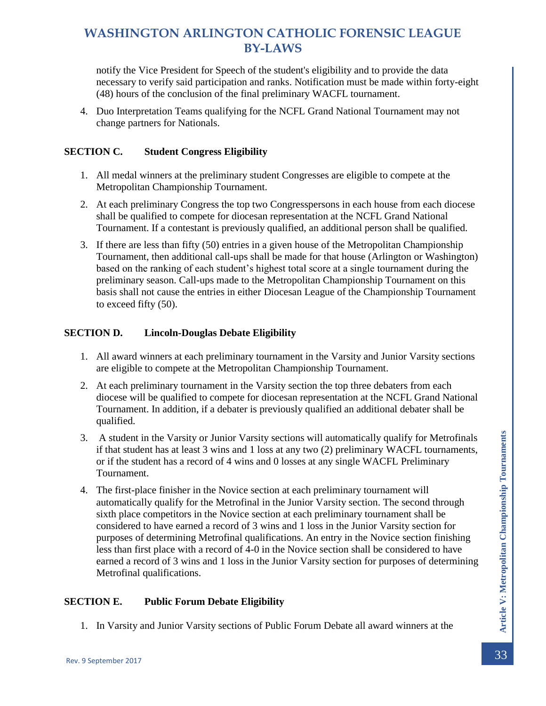notify the Vice President for Speech of the student's eligibility and to provide the data necessary to verify said participation and ranks. Notification must be made within forty-eight (48) hours of the conclusion of the final preliminary WACFL tournament.

4. Duo Interpretation Teams qualifying for the NCFL Grand National Tournament may not change partners for Nationals.

### <span id="page-33-0"></span>**SECTION C. Student Congress Eligibility**

- 1. All medal winners at the preliminary student Congresses are eligible to compete at the Metropolitan Championship Tournament.
- 2. At each preliminary Congress the top two Congresspersons in each house from each diocese shall be qualified to compete for diocesan representation at the NCFL Grand National Tournament. If a contestant is previously qualified, an additional person shall be qualified.
- 3. If there are less than fifty (50) entries in a given house of the Metropolitan Championship Tournament, then additional call-ups shall be made for that house (Arlington or Washington) based on the ranking of each student's highest total score at a single tournament during the preliminary season. Call-ups made to the Metropolitan Championship Tournament on this basis shall not cause the entries in either Diocesan League of the Championship Tournament to exceed fifty (50).

### <span id="page-33-1"></span>**SECTION D. Lincoln-Douglas Debate Eligibility**

- 1. All award winners at each preliminary tournament in the Varsity and Junior Varsity sections are eligible to compete at the Metropolitan Championship Tournament.
- 2. At each preliminary tournament in the Varsity section the top three debaters from each diocese will be qualified to compete for diocesan representation at the NCFL Grand National Tournament. In addition, if a debater is previously qualified an additional debater shall be qualified.
- 3. A student in the Varsity or Junior Varsity sections will automatically qualify for Metrofinals if that student has at least 3 wins and 1 loss at any two (2) preliminary WACFL tournaments, or if the student has a record of 4 wins and 0 losses at any single WACFL Preliminary Tournament.
- 3. A student in the Varsity or Junior Varsity sections will automatically qualify for Metrofinals<br>
if that student has at least 3 wins and 1 loss at any two (2) preliminary WACFL tournaments,<br>
or if the student has a reco 4. The first-place finisher in the Novice section at each preliminary tournament will automatically qualify for the Metrofinal in the Junior Varsity section. The second through sixth place competitors in the Novice section at each preliminary tournament shall be considered to have earned a record of 3 wins and 1 loss in the Junior Varsity section for purposes of determining Metrofinal qualifications. An entry in the Novice section finishing less than first place with a record of 4-0 in the Novice section shall be considered to have earned a record of 3 wins and 1 loss in the Junior Varsity section for purposes of determining Metrofinal qualifications.

#### <span id="page-33-2"></span>**SECTION E. Public Forum Debate Eligibility**

1. In Varsity and Junior Varsity sections of Public Forum Debate all award winners at the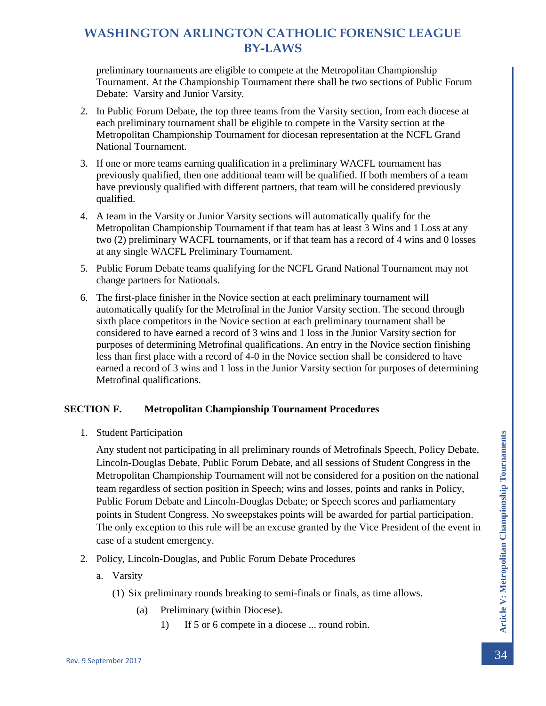preliminary tournaments are eligible to compete at the Metropolitan Championship Tournament. At the Championship Tournament there shall be two sections of Public Forum Debate: Varsity and Junior Varsity.

- 2. In Public Forum Debate, the top three teams from the Varsity section, from each diocese at each preliminary tournament shall be eligible to compete in the Varsity section at the Metropolitan Championship Tournament for diocesan representation at the NCFL Grand National Tournament.
- 3. If one or more teams earning qualification in a preliminary WACFL tournament has previously qualified, then one additional team will be qualified. If both members of a team have previously qualified with different partners, that team will be considered previously qualified.
- 4. A team in the Varsity or Junior Varsity sections will automatically qualify for the Metropolitan Championship Tournament if that team has at least 3 Wins and 1 Loss at any two (2) preliminary WACFL tournaments, or if that team has a record of 4 wins and 0 losses at any single WACFL Preliminary Tournament.
- 5. Public Forum Debate teams qualifying for the NCFL Grand National Tournament may not change partners for Nationals.
- 6. The first-place finisher in the Novice section at each preliminary tournament will automatically qualify for the Metrofinal in the Junior Varsity section. The second through sixth place competitors in the Novice section at each preliminary tournament shall be considered to have earned a record of 3 wins and 1 loss in the Junior Varsity section for purposes of determining Metrofinal qualifications. An entry in the Novice section finishing less than first place with a record of 4-0 in the Novice section shall be considered to have earned a record of 3 wins and 1 loss in the Junior Varsity section for purposes of determining Metrofinal qualifications.

### <span id="page-34-0"></span>**SECTION F. Metropolitan Championship Tournament Procedures**

1. Student Participation

Fraction Marticipation<br>
Any student not participating in all preliminary rounds of Metrofinals Speech, Policy Debate,<br>
Lincoln-Douglas Debate, Public Forum Debate, and all sessions of Student Congress in the<br>
Metropolitan Any student not participating in all preliminary rounds of Metrofinals Speech, Policy Debate, Lincoln-Douglas Debate, Public Forum Debate, and all sessions of Student Congress in the Metropolitan Championship Tournament will not be considered for a position on the national team regardless of section position in Speech; wins and losses, points and ranks in Policy, Public Forum Debate and Lincoln-Douglas Debate; or Speech scores and parliamentary points in Student Congress. No sweepstakes points will be awarded for partial participation. The only exception to this rule will be an excuse granted by the Vice President of the event in case of a student emergency.

- 2. Policy, Lincoln-Douglas, and Public Forum Debate Procedures
	- a. Varsity
		- (1) Six preliminary rounds breaking to semi-finals or finals, as time allows.
			- (a) Preliminary (within Diocese).
				- 1) If 5 or 6 compete in a diocese ... round robin.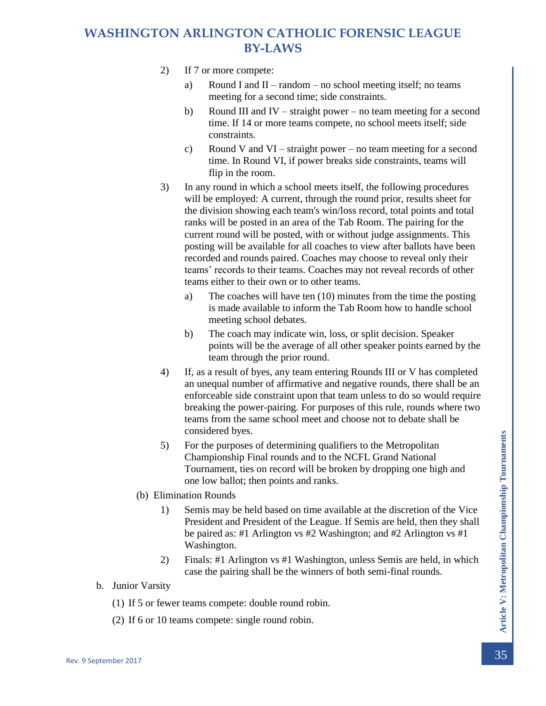- 2) If 7 or more compete:
	- a) Round I and II random no school meeting itself; no teams meeting for a second time; side constraints.
	- b) Round III and IV straight power no team meeting for a second time. If 14 or more teams compete, no school meets itself; side constraints.
	- c) Round V and VI straight power no team meeting for a second time. In Round VI, if power breaks side constraints, teams will flip in the room.
- 3) In any round in which a school meets itself, the following procedures will be employed: A current, through the round prior, results sheet for the division showing each team's win/loss record, total points and total ranks will be posted in an area of the Tab Room. The pairing for the current round will be posted, with or without judge assignments. This posting will be available for all coaches to view after ballots have been recorded and rounds paired. Coaches may choose to reveal only their teams' records to their teams. Coaches may not reveal records of other teams either to their own or to other teams.
	- a) The coaches will have ten (10) minutes from the time the posting is made available to inform the Tab Room how to handle school meeting school debates.
	- b) The coach may indicate win, loss, or split decision. Speaker points will be the average of all other speaker points earned by the team through the prior round.
- 4) If, as a result of byes, any team entering Rounds III or V has completed an unequal number of affirmative and negative rounds, there shall be an enforceable side constraint upon that team unless to do so would require breaking the power-pairing. For purposes of this rule, rounds where two teams from the same school meet and choose not to debate shall be considered byes.
- 5) For the purposes of determining qualifiers to the Metropolitan Championship Final rounds and to the NCFL Grand National Tournament, ties on record will be broken by dropping one high and one low ballot; then points and ranks.
- (b) Elimination Rounds
- For the purposes of determining qualifiers to the Metropolitan<br>
Championship Final rounds and to the NCFL Grand National<br>
Tournament, ties on record will be broken by dropping one high and<br>
Tournament the solution of the 1) Semis may be held based on time available at the discretion of the Vice President and President of the League. If Semis are held, then they shall be paired as: #1 Arlington vs #2 Washington; and #2 Arlington vs #1 Washington.
	- 2) Finals: #1 Arlington vs #1 Washington, unless Semis are held, in which case the pairing shall be the winners of both semi-final rounds.
	- b. Junior Varsity
		- (1) If 5 or fewer teams compete: double round robin.
		- (2) If 6 or 10 teams compete: single round robin.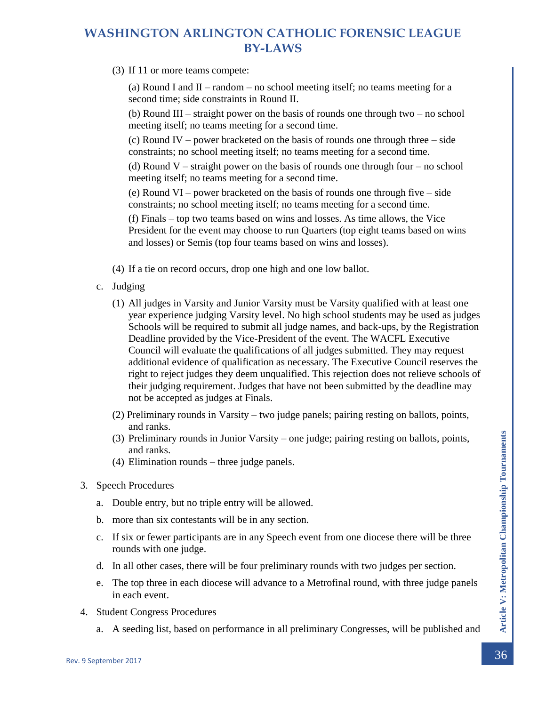(3) If 11 or more teams compete:

(a) Round I and  $II$  – random – no school meeting itself; no teams meeting for a second time; side constraints in Round II.

(b) Round III – straight power on the basis of rounds one through two – no school meeting itself; no teams meeting for a second time.

(c) Round IV – power bracketed on the basis of rounds one through three – side constraints; no school meeting itself; no teams meeting for a second time.

(d) Round V – straight power on the basis of rounds one through four – no school meeting itself; no teams meeting for a second time.

(e) Round VI – power bracketed on the basis of rounds one through five – side constraints; no school meeting itself; no teams meeting for a second time.

(f) Finals – top two teams based on wins and losses. As time allows, the Vice President for the event may choose to run Quarters (top eight teams based on wins and losses) or Semis (top four teams based on wins and losses).

- (4) If a tie on record occurs, drop one high and one low ballot.
- c. Judging
	- (1) All judges in Varsity and Junior Varsity must be Varsity qualified with at least one year experience judging Varsity level. No high school students may be used as judges Schools will be required to submit all judge names, and back-ups, by the Registration Deadline provided by the Vice-President of the event. The WACFL Executive Council will evaluate the qualifications of all judges submitted. They may request additional evidence of qualification as necessary. The Executive Council reserves the right to reject judges they deem unqualified. This rejection does not relieve schools of their judging requirement. Judges that have not been submitted by the deadline may not be accepted as judges at Finals.
	- (2) Preliminary rounds in Varsity two judge panels; pairing resting on ballots, points, and ranks.
	- (3) Preliminary rounds in Junior Varsity one judge; pairing resting on ballots, points, and ranks.
	- (4) Elimination rounds three judge panels.
- 3. Speech Procedures
	- a. Double entry, but no triple entry will be allowed.
	- b. more than six contestants will be in any section.
	- c. If six or fewer participants are in any Speech event from one diocese there will be three rounds with one judge.
	- d. In all other cases, there will be four preliminary rounds with two judges per section.
- (3) Preliminary rounds in Junior Varsity one judge; pairing resting on ballots, points,<br>
and ranks.<br>
(4) Elimination rounds three judge panels.<br>
3. Speech Procedures<br>
a. Double entry, but no triple entry will be allow e. The top three in each diocese will advance to a Metrofinal round, with three judge panels in each event.
	- 4. Student Congress Procedures
		- a. A seeding list, based on performance in all preliminary Congresses, will be published and